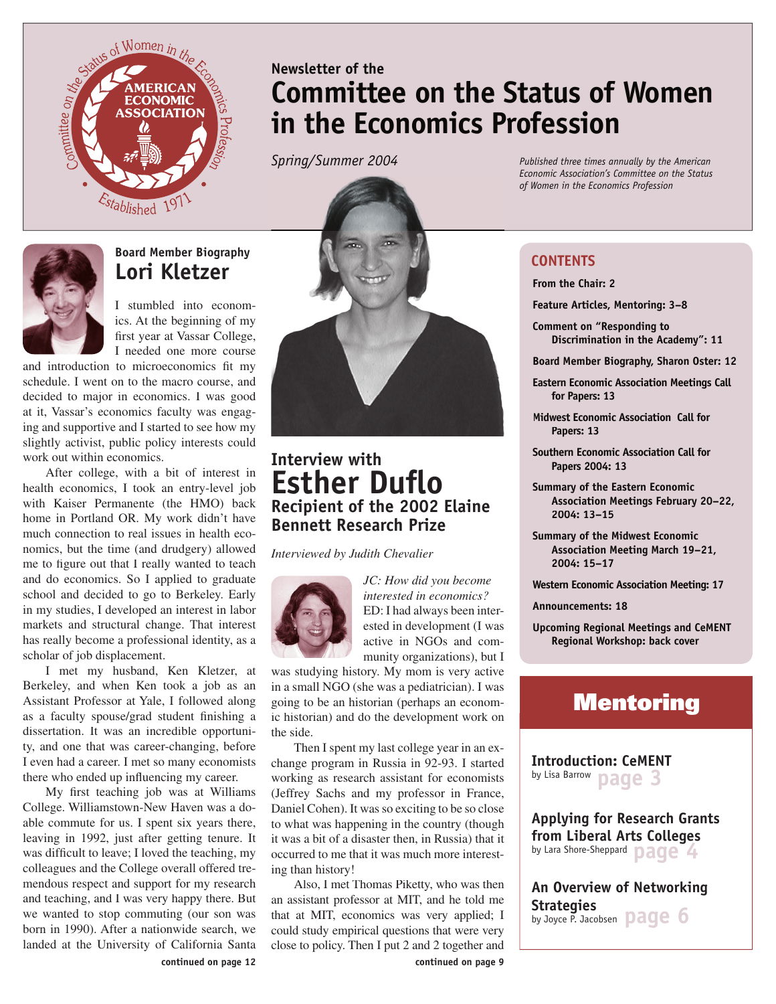

# **Newsletter of the Committee on the Status of Women in the Economics Profession**

*Spring/Summer 2004*



# **Board Member Biography Lori Kletzer**

I stumbled into economics. At the beginning of my first year at Vassar College, I needed one more course

and introduction to microeconomics fit my schedule. I went on to the macro course, and decided to major in economics. I was good at it, Vassar's economics faculty was engaging and supportive and I started to see how my slightly activist, public policy interests could work out within economics.

After college, with a bit of interest in health economics, I took an entry-level job with Kaiser Permanente (the HMO) back home in Portland OR. My work didn't have much connection to real issues in health economics, but the time (and drudgery) allowed me to figure out that I really wanted to teach and do economics. So I applied to graduate school and decided to go to Berkeley. Early in my studies, I developed an interest in labor markets and structural change. That interest has really become a professional identity, as a scholar of job displacement.

I met my husband, Ken Kletzer, at Berkeley, and when Ken took a job as an Assistant Professor at Yale, I followed along as a faculty spouse/grad student finishing a dissertation. It was an incredible opportunity, and one that was career-changing, before I even had a career. I met so many economists there who ended up influencing my career.

My first teaching job was at Williams College. Williamstown-New Haven was a doable commute for us. I spent six years there, leaving in 1992, just after getting tenure. It was difficult to leave; I loved the teaching, my colleagues and the College overall offered tremendous respect and support for my research and teaching, and I was very happy there. But we wanted to stop commuting (our son was born in 1990). After a nationwide search, we landed at the University of California Santa



# **Interview with Esther Duflo Recipient of the 2002 Elaine Bennett Research Prize**

*Interviewed by Judith Chevalier*



*JC: How did you become interested in economics?*  ED: I had always been interested in development (I was active in NGOs and community organizations), but I

was studying history. My mom is very active in a small NGO (she was a pediatrician). I was going to be an historian (perhaps an economic historian) and do the development work on the side.

Then I spent my last college year in an exchange program in Russia in 92-93. I started working as research assistant for economists (Jeffrey Sachs and my professor in France, Daniel Cohen). It was so exciting to be so close to what was happening in the country (though it was a bit of a disaster then, in Russia) that it occurred to me that it was much more interesting than history!

Also, I met Thomas Piketty, who was then an assistant professor at MIT, and he told me that at MIT, economics was very applied; I could study empirical questions that were very close to policy. Then I put 2 and 2 together and

*Published three times annually by the American Economic Association's Committee on the Status of Women in the Economics Profession*

### **CONTENTS**

**From the Chair: 2**

**Feature Articles, Mentoring: 3–8**

**Comment on "Responding to Discrimination in the Academy": 11**

**Board Member Biography, Sharon Oster: 12**

**Eastern Economic Association Meetings Call for Papers: 13**

**Midwest Midwest Economic Association Call for Economic Association Call for Papers: 13**

**Southern Economic Association Call for Papers 2004: 13**

**Summary of the Eastern Economic Association Meetings February 20–22, 2004: 13–15**

**Summary of the Midwest Economic Association Meeting March 19–21, 2004: 15–17**

**Western Economic Association Meeting: 17**

**Announcements: 18**

**Upcoming Regional Meetings and CeMENT Regional Workshop: back cover**

# **Mentoring**

**Introduction: CeMENT** by Lisa Barrow **page 3**

**Applying for Research Grants from Liberal Arts Colleges**  by Lara Shore-Sheppard **page 4** 

**An Overview of Networking Strategies** by Joyce P. Jacobsen **page 6** 

**continued on page 9**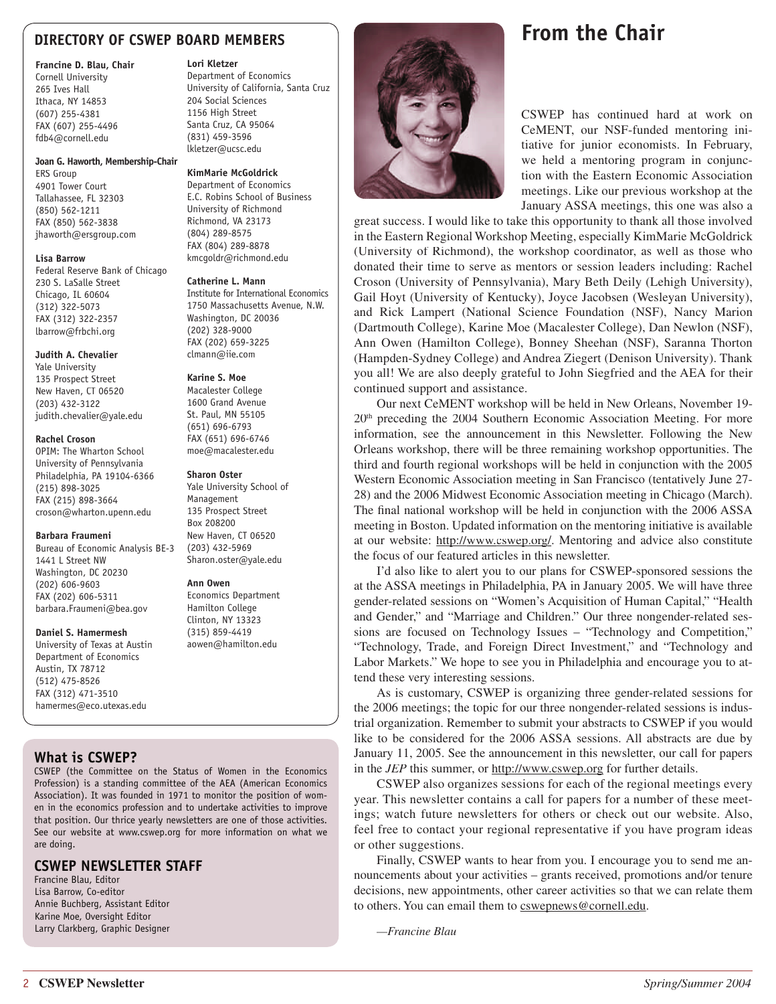### **DIRECTORY OF CSWEP BOARD MEMBERS**

#### **Francine D. Blau, Chair**

Cornell University 265 Ives Hall Ithaca, NY 14853 (607) 255-4381 FAX (607) 255-4496 fdb4@cornell.edu

#### **Joan G. Haworth, Membership-Chair**

ERS Group 4901 Tower Court Tallahassee, FL 32303 (850) 562-1211 FAX (850) 562-3838 jhaworth@ersgroup.com

#### **Lisa Barrow**

Federal Reserve Bank of Chicago 230 S. LaSalle Street Chicago, IL 60604 (312) 322-5073 FAX (312) 322-2357 lbarrow@frbchi.org

#### **Judith A. Chevalier**

Yale University 135 Prospect Street New Haven, CT 06520 (203) 432-3122 judith.chevalier@yale.edu

#### **Rachel Croson**

OPIM: The Wharton School University of Pennsylvania Philadelphia, PA 19104-6366 (215) 898-3025 FAX (215) 898-3664 croson@wharton.upenn.edu

#### **Barbara Fraumeni**

Bureau of Economic Analysis BE-3 1441 L Street NW Washington, DC 20230 (202) 606-9603 FAX (202) 606-5311 barbara.Fraumeni@bea.gov

#### **Daniel S. Hamermesh**

University of Texas at Austin Department of Economics Austin, TX 78712 (512) 475-8526 FAX (312) 471-3510 hamermes@eco.utexas.edu

#### **What is CSWEP?**

CSWEP (the Committee on the Status of Women in the Economics Profession) is a standing committee of the AEA (American Economics Association). It was founded in 1971 to monitor the position of women in the economics profession and to undertake activities to improve that position. Our thrice yearly newsletters are one of those activities. See our website at www.cswep.org for more information on what we are doing.

#### **CSWEP NEWSLETTER STAFF**

Francine Blau, Editor Lisa Barrow, Co-editor Annie Buchberg, Assistant Editor Karine Moe, Oversight Editor Larry Clarkberg, Graphic Designer

#### **Lori Kletzer**

Department of Economics University of California, Santa Cruz 204 Social Sciences 1156 High Street Santa Cruz, CA 95064 (831) 459-3596 lkletzer@ucsc.edu

#### **KimMarie McGoldrick**

Department of Economics E.C. Robins School of Business University of Richmond Richmond, VA 23173 (804) 289-8575 FAX (804) 289-8878 kmcgoldr@richmond.edu

#### **Catherine L. Mann**

Institute for International Economics 1750 Massachusetts Avenue, N.W. Washington, DC 20036 (202) 328-9000 FAX (202) 659-3225 clmann@iie.com

#### **Karine S. Moe**

Macalester College 1600 Grand Avenue St. Paul, MN 55105 (651) 696-6793 FAX (651) 696-6746 moe@macalester.edu

#### **Sharon Oster**

Yale University School of Management 135 Prospect Street Box 208200 New Haven, CT 06520 (203) 432-5969 Sharon.oster@yale.edu

#### **Ann Owen**

Economics Department Hamilton College Clinton, NY 13323 (315) 859-4419 aowen@hamilton.edu



# **From the Chair**

CSWEP has continued hard at work on CeMENT, our NSF-funded mentoring initiative for junior economists. In February, we held a mentoring program in conjunction with the Eastern Economic Association meetings. Like our previous workshop at the January ASSA meetings, this one was also a

great success. I would like to take this opportunity to thank all those involved in the Eastern Regional Workshop Meeting, especially KimMarie McGoldrick (University of Richmond), the workshop coordinator, as well as those who donated their time to serve as mentors or session leaders including: Rachel Croson (University of Pennsylvania), Mary Beth Deily (Lehigh University), Gail Hoyt (University of Kentucky), Joyce Jacobsen (Wesleyan University), and Rick Lampert (National Science Foundation (NSF), Nancy Marion (Dartmouth College), Karine Moe (Macalester College), Dan Newlon (NSF), Ann Owen (Hamilton College), Bonney Sheehan (NSF), Saranna Thorton (Hampden-Sydney College) and Andrea Ziegert (Denison University). Thank you all! We are also deeply grateful to John Siegfried and the AEA for their continued support and assistance.

Our next CeMENT workshop will be held in New Orleans, November 19- 20<sup>th</sup> preceding the 2004 Southern Economic Association Meeting. For more information, see the announcement in this Newsletter. Following the New Orleans workshop, there will be three remaining workshop opportunities. The third and fourth regional workshops will be held in conjunction with the 2005 Western Economic Association meeting in San Francisco (tentatively June 27- 28) and the 2006 Midwest Economic Association meeting in Chicago (March). The final national workshop will be held in conjunction with the 2006 ASSA meeting in Boston. Updated information on the mentoring initiative is available at our website: http://www.cswep.org/. Mentoring and advice also constitute the focus of our featured articles in this newsletter.

I'd also like to alert you to our plans for CSWEP-sponsored sessions the at the ASSA meetings in Philadelphia, PA in January 2005. We will have three gender-related sessions on "Women's Acquisition of Human Capital," "Health and Gender," and "Marriage and Children." Our three nongender-related sessions are focused on Technology Issues – "Technology and Competition," "Technology, Trade, and Foreign Direct Investment," and "Technology and Labor Markets." We hope to see you in Philadelphia and encourage you to attend these very interesting sessions.

As is customary, CSWEP is organizing three gender-related sessions for the 2006 meetings; the topic for our three nongender-related sessions is industrial organization. Remember to submit your abstracts to CSWEP if you would like to be considered for the 2006 ASSA sessions. All abstracts are due by January 11, 2005. See the announcement in this newsletter, our call for papers in the *JEP* this summer, or http://www.cswep.org for further details.

CSWEP also organizes sessions for each of the regional meetings every year. This newsletter contains a call for papers for a number of these meetings; watch future newsletters for others or check out our website. Also, feel free to contact your regional representative if you have program ideas or other suggestions.

Finally, CSWEP wants to hear from you. I encourage you to send me announcements about your activities – grants received, promotions and/or tenure decisions, new appointments, other career activities so that we can relate them to others. You can email them to cswepnews@cornell.edu.

 *—Francine Blau*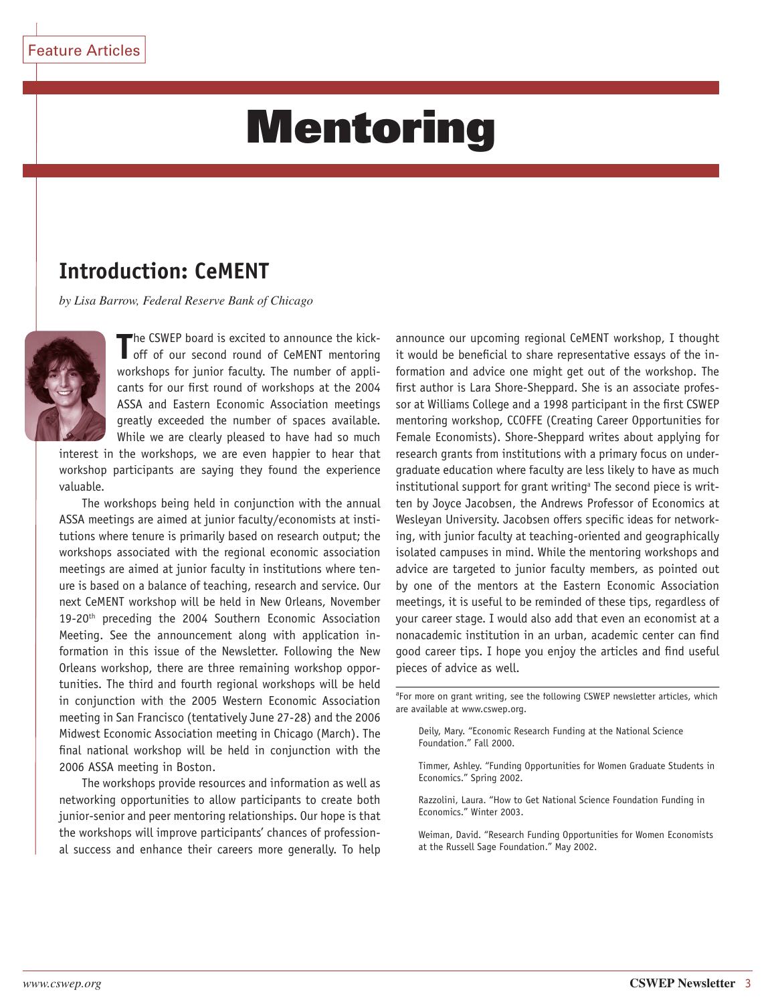# Mentoring

# **Introduction: CeMENT**

*by Lisa Barrow, Federal Reserve Bank of Chicago*



The CSWEP board is excited to announce the kick-<br>
off of our second round of CeMENT mentoring he CSWEP board is excited to announce the kickworkshops for junior faculty. The number of applicants for our first round of workshops at the 2004 ASSA and Eastern Economic Association meetings greatly exceeded the number of spaces available. While we are clearly pleased to have had so much

interest in the workshops, we are even happier to hear that workshop participants are saying they found the experience valuable.

The workshops being held in conjunction with the annual ASSA meetings are aimed at junior faculty/economists at institutions where tenure is primarily based on research output; the workshops associated with the regional economic association meetings are aimed at junior faculty in institutions where tenure is based on a balance of teaching, research and service. Our next CeMENT workshop will be held in New Orleans, November 19-20<sup>th</sup> preceding the 2004 Southern Economic Association Meeting. See the announcement along with application information in this issue of the Newsletter. Following the New Orleans workshop, there are three remaining workshop opportunities. The third and fourth regional workshops will be held in conjunction with the 2005 Western Economic Association meeting in San Francisco (tentatively June 27-28) and the 2006 Midwest Economic Association meeting in Chicago (March). The final national workshop will be held in conjunction with the 2006 ASSA meeting in Boston.

The workshops provide resources and information as well as networking opportunities to allow participants to create both junior-senior and peer mentoring relationships. Our hope is that the workshops will improve participants' chances of professional success and enhance their careers more generally. To help

announce our upcoming regional CeMENT workshop, I thought it would be beneficial to share representative essays of the information and advice one might get out of the workshop. The first author is Lara Shore-Sheppard. She is an associate professor at Williams College and a 1998 participant in the first CSWEP mentoring workshop, CCOFFE (Creating Career Opportunities for Female Economists). Shore-Sheppard writes about applying for research grants from institutions with a primary focus on undergraduate education where faculty are less likely to have as much institutional support for grant writing<sup>a</sup> The second piece is written by Joyce Jacobsen, the Andrews Professor of Economics at Wesleyan University. Jacobsen offers specific ideas for networking, with junior faculty at teaching-oriented and geographically isolated campuses in mind. While the mentoring workshops and advice are targeted to junior faculty members, as pointed out by one of the mentors at the Eastern Economic Association meetings, it is useful to be reminded of these tips, regardless of your career stage. I would also add that even an economist at a nonacademic institution in an urban, academic center can find good career tips. I hope you enjoy the articles and find useful pieces of advice as well.

<sup>a</sup>For more on grant writing, see the following CSWEP newsletter articles, which are available at www.cswep.org.

Timmer, Ashley. "Funding Opportunities for Women Graduate Students in Economics." Spring 2002.

Razzolini, Laura. "How to Get National Science Foundation Funding in Economics." Winter 2003.

Weiman, David. "Research Funding Opportunities for Women Economists at the Russell Sage Foundation." May 2002.

Deily, Mary. "Economic Research Funding at the National Science Foundation." Fall 2000.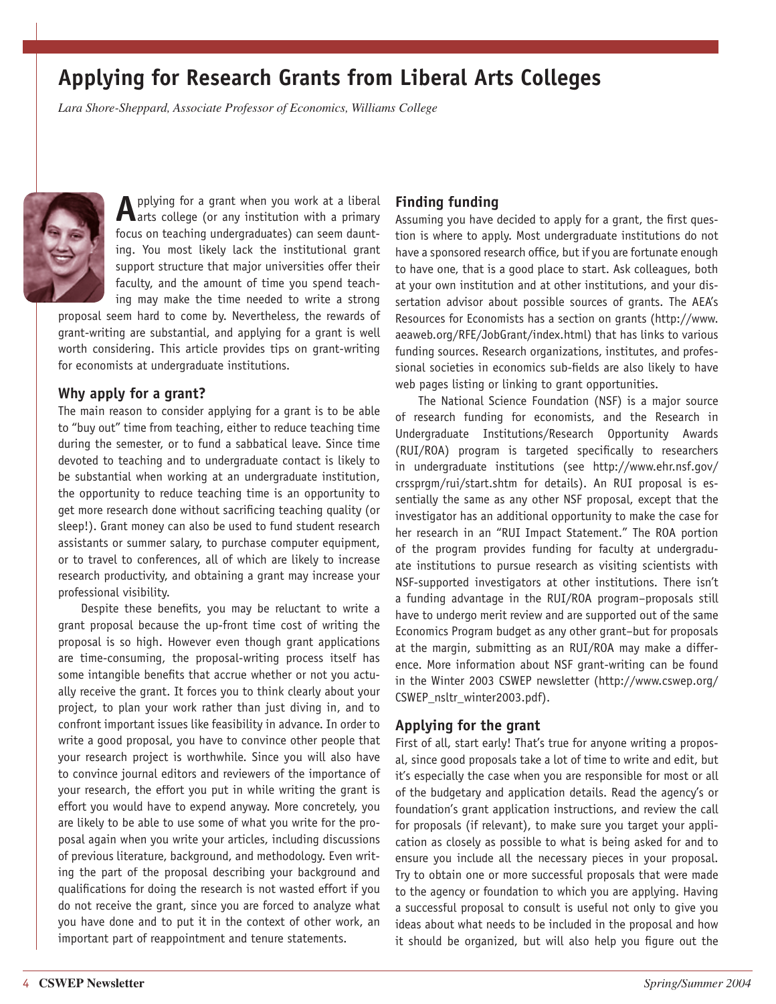# **Applying for Research Grants from Liberal Arts Colleges**

*Lara Shore-Sheppard, Associate Professor of Economics, Williams College*



**A** pplying for a grant when you work at a liberal arts college (or any institution with a primary focus on teaching undergraduates) can seem daunting. You most likely lack the institutional grant support structure that major universities offer their faculty, and the amount of time you spend teaching may make the time needed to write a strong

proposal seem hard to come by. Nevertheless, the rewards of grant-writing are substantial, and applying for a grant is well worth considering. This article provides tips on grant-writing for economists at undergraduate institutions.

#### **Why apply for a grant?**

The main reason to consider applying for a grant is to be able to "buy out" time from teaching, either to reduce teaching time during the semester, or to fund a sabbatical leave. Since time devoted to teaching and to undergraduate contact is likely to be substantial when working at an undergraduate institution, the opportunity to reduce teaching time is an opportunity to get more research done without sacrificing teaching quality (or sleep!). Grant money can also be used to fund student research assistants or summer salary, to purchase computer equipment, or to travel to conferences, all of which are likely to increase research productivity, and obtaining a grant may increase your professional visibility.

Despite these benefits, you may be reluctant to write a grant proposal because the up-front time cost of writing the proposal is so high. However even though grant applications are time-consuming, the proposal-writing process itself has some intangible benefits that accrue whether or not you actually receive the grant. It forces you to think clearly about your project, to plan your work rather than just diving in, and to confront important issues like feasibility in advance. In order to write a good proposal, you have to convince other people that your research project is worthwhile. Since you will also have to convince journal editors and reviewers of the importance of your research, the effort you put in while writing the grant is effort you would have to expend anyway. More concretely, you are likely to be able to use some of what you write for the proposal again when you write your articles, including discussions of previous literature, background, and methodology. Even writing the part of the proposal describing your background and qualifications for doing the research is not wasted effort if you do not receive the grant, since you are forced to analyze what you have done and to put it in the context of other work, an important part of reappointment and tenure statements.

### **Finding funding**

Assuming you have decided to apply for a grant, the first question is where to apply. Most undergraduate institutions do not have a sponsored research office, but if you are fortunate enough to have one, that is a good place to start. Ask colleagues, both at your own institution and at other institutions, and your dissertation advisor about possible sources of grants. The AEA's Resources for Economists has a section on grants (http://www. aeaweb.org/RFE/JobGrant/index.html) that has links to various funding sources. Research organizations, institutes, and professional societies in economics sub-fields are also likely to have web pages listing or linking to grant opportunities.

The National Science Foundation (NSF) is a major source of research funding for economists, and the Research in Undergraduate Institutions/Research Opportunity Awards (RUI/ROA) program is targeted specifically to researchers in undergraduate institutions (see http://www.ehr.nsf.gov/ crssprgm/rui/start.shtm for details). An RUI proposal is essentially the same as any other NSF proposal, except that the investigator has an additional opportunity to make the case for her research in an "RUI Impact Statement." The ROA portion of the program provides funding for faculty at undergraduate institutions to pursue research as visiting scientists with NSF-supported investigators at other institutions. There isn't a funding advantage in the RUI/ROA program–proposals still have to undergo merit review and are supported out of the same Economics Program budget as any other grant–but for proposals at the margin, submitting as an RUI/ROA may make a difference. More information about NSF grant-writing can be found in the Winter 2003 CSWEP newsletter (http://www.cswep.org/ CSWEP\_nsltr\_winter2003.pdf).

### **Applying for the grant**

First of all, start early! That's true for anyone writing a proposal, since good proposals take a lot of time to write and edit, but it's especially the case when you are responsible for most or all of the budgetary and application details. Read the agency's or foundation's grant application instructions, and review the call for proposals (if relevant), to make sure you target your application as closely as possible to what is being asked for and to ensure you include all the necessary pieces in your proposal. Try to obtain one or more successful proposals that were made to the agency or foundation to which you are applying. Having a successful proposal to consult is useful not only to give you ideas about what needs to be included in the proposal and how it should be organized, but will also help you figure out the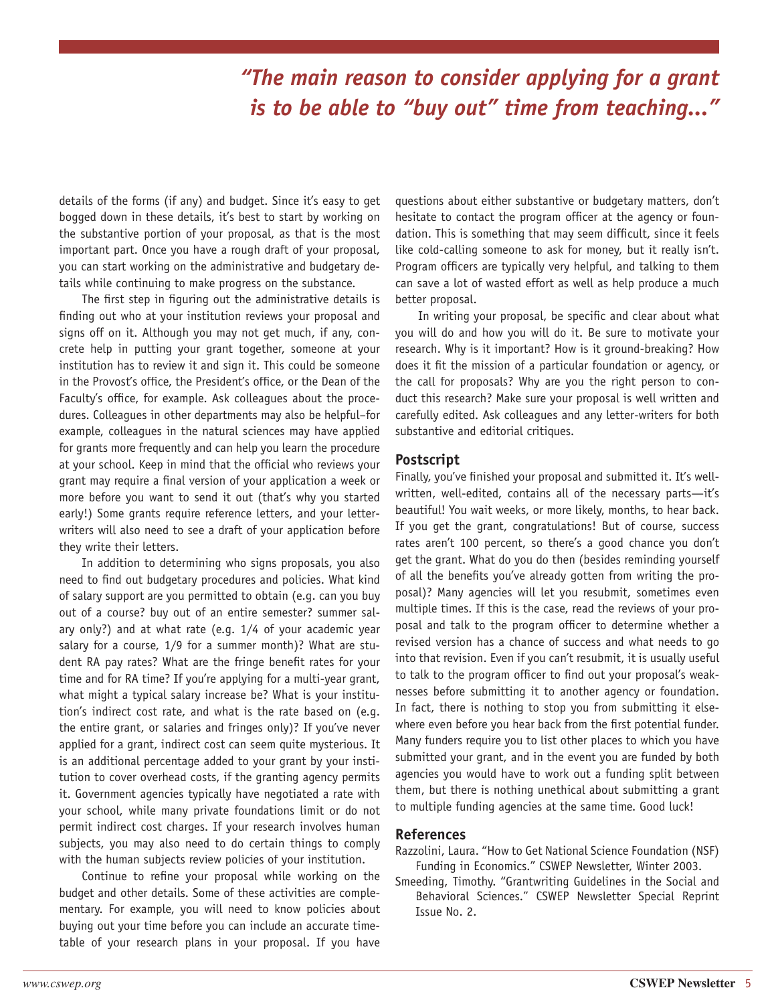# *"The main reason to consider applying for a grant is to be able to "buy out" time from teaching..."*

details of the forms (if any) and budget. Since it's easy to get bogged down in these details, it's best to start by working on the substantive portion of your proposal, as that is the most important part. Once you have a rough draft of your proposal, you can start working on the administrative and budgetary details while continuing to make progress on the substance.

The first step in figuring out the administrative details is finding out who at your institution reviews your proposal and signs off on it. Although you may not get much, if any, concrete help in putting your grant together, someone at your institution has to review it and sign it. This could be someone in the Provost's office, the President's office, or the Dean of the Faculty's office, for example. Ask colleagues about the procedures. Colleagues in other departments may also be helpful–for example, colleagues in the natural sciences may have applied for grants more frequently and can help you learn the procedure at your school. Keep in mind that the official who reviews your grant may require a final version of your application a week or more before you want to send it out (that's why you started early!) Some grants require reference letters, and your letterwriters will also need to see a draft of your application before they write their letters.

In addition to determining who signs proposals, you also need to find out budgetary procedures and policies. What kind of salary support are you permitted to obtain (e.g. can you buy out of a course? buy out of an entire semester? summer salary only?) and at what rate (e.g. 1/4 of your academic year salary for a course, 1/9 for a summer month)? What are student RA pay rates? What are the fringe benefit rates for your time and for RA time? If you're applying for a multi-year grant, what might a typical salary increase be? What is your institution's indirect cost rate, and what is the rate based on (e.g. the entire grant, or salaries and fringes only)? If you've never applied for a grant, indirect cost can seem quite mysterious. It is an additional percentage added to your grant by your institution to cover overhead costs, if the granting agency permits it. Government agencies typically have negotiated a rate with your school, while many private foundations limit or do not permit indirect cost charges. If your research involves human subjects, you may also need to do certain things to comply with the human subjects review policies of your institution.

Continue to refine your proposal while working on the budget and other details. Some of these activities are complementary. For example, you will need to know policies about buying out your time before you can include an accurate timetable of your research plans in your proposal. If you have

questions about either substantive or budgetary matters, don't hesitate to contact the program officer at the agency or foundation. This is something that may seem difficult, since it feels like cold-calling someone to ask for money, but it really isn't. Program officers are typically very helpful, and talking to them can save a lot of wasted effort as well as help produce a much better proposal.

In writing your proposal, be specific and clear about what you will do and how you will do it. Be sure to motivate your research. Why is it important? How is it ground-breaking? How does it fit the mission of a particular foundation or agency, or the call for proposals? Why are you the right person to conduct this research? Make sure your proposal is well written and carefully edited. Ask colleagues and any letter-writers for both substantive and editorial critiques.

#### **Postscript**

Finally, you've finished your proposal and submitted it. It's wellwritten, well-edited, contains all of the necessary parts—it's beautiful! You wait weeks, or more likely, months, to hear back. If you get the grant, congratulations! But of course, success rates aren't 100 percent, so there's a good chance you don't get the grant. What do you do then (besides reminding yourself of all the benefits you've already gotten from writing the proposal)? Many agencies will let you resubmit, sometimes even multiple times. If this is the case, read the reviews of your proposal and talk to the program officer to determine whether a revised version has a chance of success and what needs to go into that revision. Even if you can't resubmit, it is usually useful to talk to the program officer to find out your proposal's weaknesses before submitting it to another agency or foundation. In fact, there is nothing to stop you from submitting it elsewhere even before you hear back from the first potential funder. Many funders require you to list other places to which you have submitted your grant, and in the event you are funded by both agencies you would have to work out a funding split between them, but there is nothing unethical about submitting a grant to multiple funding agencies at the same time. Good luck!

#### **References**

Razzolini, Laura. "How to Get National Science Foundation (NSF) Funding in Economics." CSWEP Newsletter, Winter 2003.

Smeeding, Timothy. "Grantwriting Guidelines in the Social and Behavioral Sciences." CSWEP Newsletter Special Reprint Issue No. 2.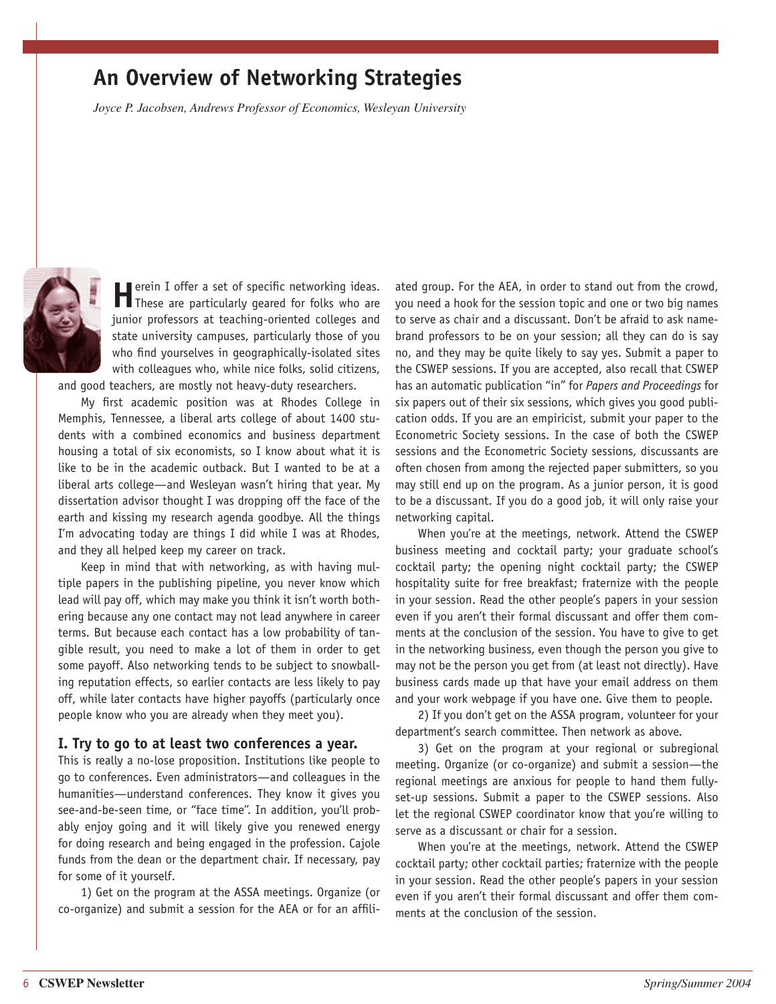# **An Overview of Networking Strategies**

*Joyce P. Jacobsen, Andrews Professor of Economics, Wesleyan University*



**H**erein I offer a set of specific networking ideas.<br>These are particularly geared for folks who are junior professors at teaching-oriented colleges and state university campuses, particularly those of you who find yourselves in geographically-isolated sites with colleagues who, while nice folks, solid citizens,

and good teachers, are mostly not heavy-duty researchers.

My first academic position was at Rhodes College in Memphis, Tennessee, a liberal arts college of about 1400 students with a combined economics and business department housing a total of six economists, so I know about what it is like to be in the academic outback. But I wanted to be at a liberal arts college—and Wesleyan wasn't hiring that year. My dissertation advisor thought I was dropping off the face of the earth and kissing my research agenda goodbye. All the things I'm advocating today are things I did while I was at Rhodes, and they all helped keep my career on track.

Keep in mind that with networking, as with having multiple papers in the publishing pipeline, you never know which lead will pay off, which may make you think it isn't worth bothering because any one contact may not lead anywhere in career terms. But because each contact has a low probability of tangible result, you need to make a lot of them in order to get some payoff. Also networking tends to be subject to snowballing reputation effects, so earlier contacts are less likely to pay off, while later contacts have higher payoffs (particularly once people know who you are already when they meet you).

#### **I. Try to go to at least two conferences a year.**

This is really a no-lose proposition. Institutions like people to go to conferences. Even administrators—and colleagues in the humanities—understand conferences. They know it gives you see-and-be-seen time, or "face time". In addition, you'll probably enjoy going and it will likely give you renewed energy for doing research and being engaged in the profession. Cajole funds from the dean or the department chair. If necessary, pay for some of it yourself.

1) Get on the program at the ASSA meetings. Organize (or co-organize) and submit a session for the AEA or for an affili-

ated group. For the AEA, in order to stand out from the crowd, you need a hook for the session topic and one or two big names to serve as chair and a discussant. Don't be afraid to ask namebrand professors to be on your session; all they can do is say no, and they may be quite likely to say yes. Submit a paper to the CSWEP sessions. If you are accepted, also recall that CSWEP has an automatic publication "in" for *Papers and Proceedings* for six papers out of their six sessions, which gives you good publication odds. If you are an empiricist, submit your paper to the Econometric Society sessions. In the case of both the CSWEP sessions and the Econometric Society sessions, discussants are often chosen from among the rejected paper submitters, so you may still end up on the program. As a junior person, it is good to be a discussant. If you do a good job, it will only raise your networking capital.

When you're at the meetings, network. Attend the CSWEP business meeting and cocktail party; your graduate school's cocktail party; the opening night cocktail party; the CSWEP hospitality suite for free breakfast; fraternize with the people in your session. Read the other people's papers in your session even if you aren't their formal discussant and offer them comments at the conclusion of the session. You have to give to get in the networking business, even though the person you give to may not be the person you get from (at least not directly). Have business cards made up that have your email address on them and your work webpage if you have one. Give them to people.

2) If you don't get on the ASSA program, volunteer for your department's search committee. Then network as above.

3) Get on the program at your regional or subregional meeting. Organize (or co-organize) and submit a session—the regional meetings are anxious for people to hand them fullyset-up sessions. Submit a paper to the CSWEP sessions. Also let the regional CSWEP coordinator know that you're willing to serve as a discussant or chair for a session.

When you're at the meetings, network. Attend the CSWEP cocktail party; other cocktail parties; fraternize with the people in your session. Read the other people's papers in your session even if you aren't their formal discussant and offer them comments at the conclusion of the session.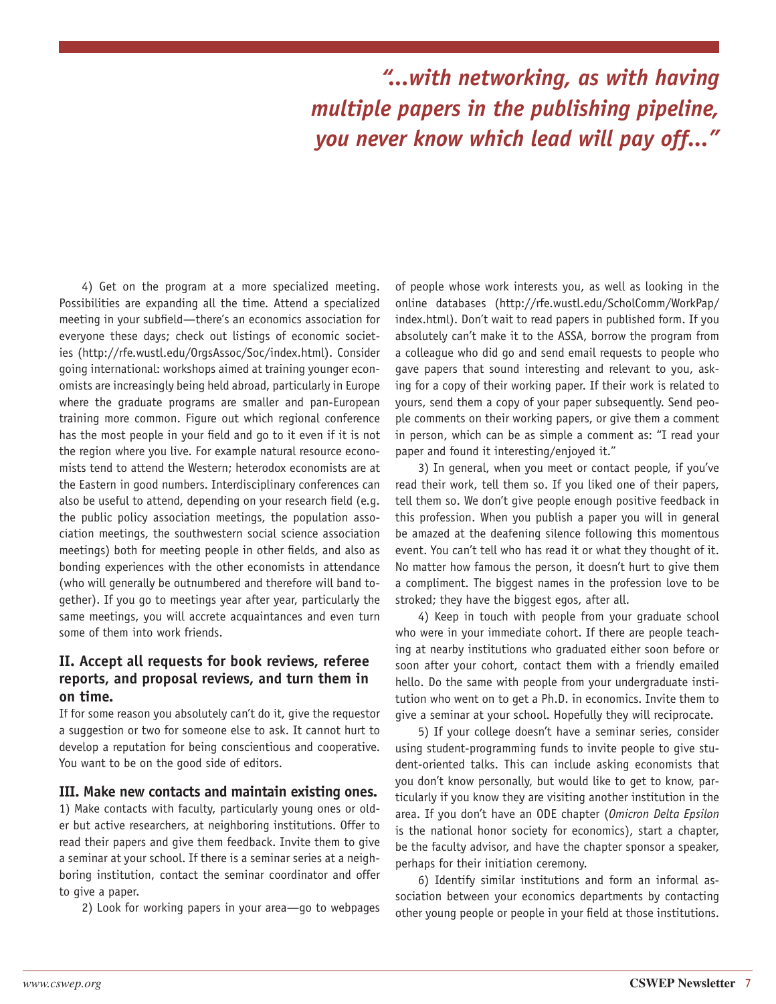# *"...with networking, as with having multiple papers in the publishing pipeline, you never know which lead will pay off..."*

4) Get on the program at a more specialized meeting. Possibilities are expanding all the time. Attend a specialized meeting in your subfield—there's an economics association for everyone these days; check out listings of economic societies (http://rfe.wustl.edu/OrgsAssoc/Soc/index.html). Consider going international: workshops aimed at training younger economists are increasingly being held abroad, particularly in Europe where the graduate programs are smaller and pan-European training more common. Figure out which regional conference has the most people in your field and go to it even if it is not the region where you live. For example natural resource economists tend to attend the Western; heterodox economists are at the Eastern in good numbers. Interdisciplinary conferences can also be useful to attend, depending on your research field (e.g. the public policy association meetings, the population association meetings, the southwestern social science association meetings) both for meeting people in other fields, and also as bonding experiences with the other economists in attendance (who will generally be outnumbered and therefore will band together). If you go to meetings year after year, particularly the same meetings, you will accrete acquaintances and even turn some of them into work friends.

### **II. Accept all requests for book reviews, referee reports, and proposal reviews, and turn them in on time.**

If for some reason you absolutely can't do it, give the requestor a suggestion or two for someone else to ask. It cannot hurt to develop a reputation for being conscientious and cooperative. You want to be on the good side of editors.

#### **III. Make new contacts and maintain existing ones.**

1) Make contacts with faculty, particularly young ones or older but active researchers, at neighboring institutions. Offer to read their papers and give them feedback. Invite them to give a seminar at your school. If there is a seminar series at a neighboring institution, contact the seminar coordinator and offer to give a paper.

2) Look for working papers in your area—go to webpages

of people whose work interests you, as well as looking in the online databases (http://rfe.wustl.edu/ScholComm/WorkPap/ index.html). Don't wait to read papers in published form. If you absolutely can't make it to the ASSA, borrow the program from a colleague who did go and send email requests to people who gave papers that sound interesting and relevant to you, asking for a copy of their working paper. If their work is related to yours, send them a copy of your paper subsequently. Send people comments on their working papers, or give them a comment in person, which can be as simple a comment as: "I read your paper and found it interesting/enjoyed it."

3) In general, when you meet or contact people, if you've read their work, tell them so. If you liked one of their papers, tell them so. We don't give people enough positive feedback in this profession. When you publish a paper you will in general be amazed at the deafening silence following this momentous event. You can't tell who has read it or what they thought of it. No matter how famous the person, it doesn't hurt to give them a compliment. The biggest names in the profession love to be stroked; they have the biggest egos, after all.

4) Keep in touch with people from your graduate school who were in your immediate cohort. If there are people teaching at nearby institutions who graduated either soon before or soon after your cohort, contact them with a friendly emailed hello. Do the same with people from your undergraduate institution who went on to get a Ph.D. in economics. Invite them to give a seminar at your school. Hopefully they will reciprocate.

5) If your college doesn't have a seminar series, consider using student-programming funds to invite people to give student-oriented talks. This can include asking economists that you don't know personally, but would like to get to know, particularly if you know they are visiting another institution in the area. If you don't have an ODE chapter (*Omicron Delta Epsilon* is the national honor society for economics), start a chapter, be the faculty advisor, and have the chapter sponsor a speaker, perhaps for their initiation ceremony.

6) Identify similar institutions and form an informal association between your economics departments by contacting other young people or people in your field at those institutions.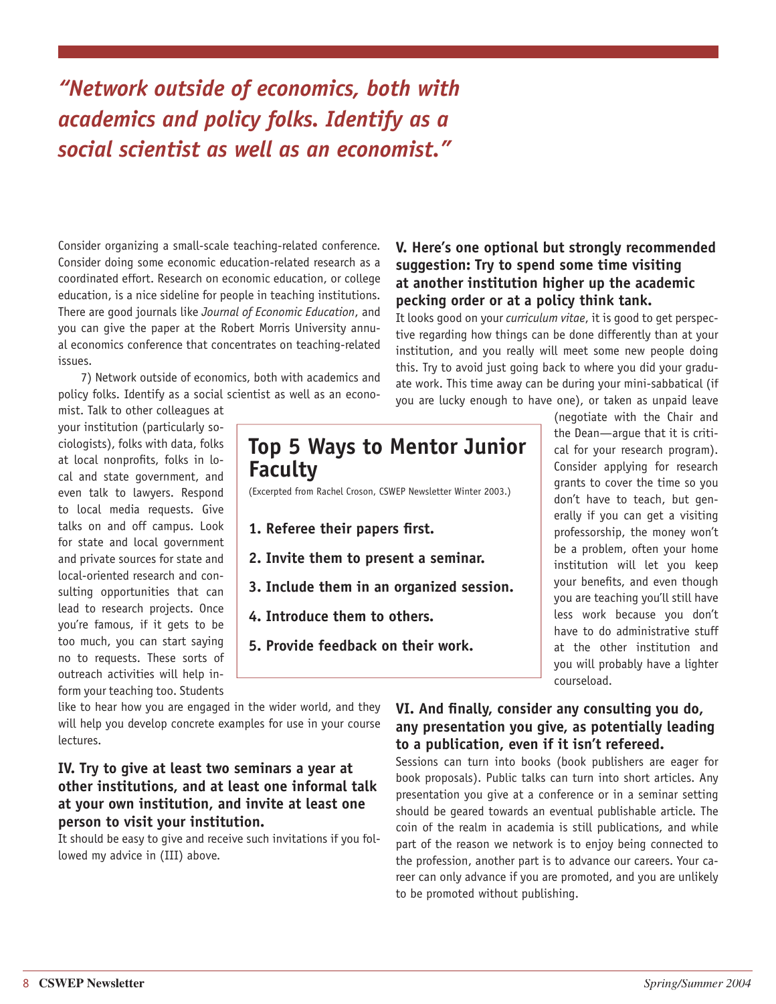# *"Network outside of economics, both with academics and policy folks. Identify as a social scientist as well as an economist."*

Consider organizing a small-scale teaching-related conference. Consider doing some economic education-related research as a coordinated effort. Research on economic education, or college education, is a nice sideline for people in teaching institutions. There are good journals like *Journal of Economic Education*, and you can give the paper at the Robert Morris University annual economics conference that concentrates on teaching-related issues.

7) Network outside of economics, both with academics and policy folks. Identify as a social scientist as well as an economist. Talk to other colleagues at

your institution (particularly sociologists), folks with data, folks at local nonprofits, folks in local and state government, and even talk to lawyers. Respond to local media requests. Give talks on and off campus. Look for state and local government and private sources for state and local-oriented research and consulting opportunities that can lead to research projects. Once you're famous, if it gets to be too much, you can start saying no to requests. These sorts of outreach activities will help inform your teaching too. Students

# **Top 5 Ways to Mentor Junior Faculty**

(Excerpted from Rachel Croson, CSWEP Newsletter Winter 2003.)

- 1. Referee their papers first.
- **2. Invite them to present a seminar.**
- **3. Include them in an organized session.**
- **4. Introduce them to others.**
- **5. Provide feedback on their work.**

like to hear how you are engaged in the wider world, and they will help you develop concrete examples for use in your course lectures.

### **IV. Try to give at least two seminars a year at other institutions, and at least one informal talk at your own institution, and invite at least one person to visit your institution.**

It should be easy to give and receive such invitations if you followed my advice in (III) above.

### **V. Here's one optional but strongly recommended suggestion: Try to spend some time visiting at another institution higher up the academic pecking order or at a policy think tank.**

It looks good on your *curriculum vitae*, it is good to get perspective regarding how things can be done differently than at your institution, and you really will meet some new people doing this. Try to avoid just going back to where you did your graduate work. This time away can be during your mini-sabbatical (if you are lucky enough to have one), or taken as unpaid leave

(negotiate with the Chair and the Dean—argue that it is critical for your research program). Consider applying for research grants to cover the time so you don't have to teach, but generally if you can get a visiting professorship, the money won't be a problem, often your home institution will let you keep your benefits, and even though you are teaching you'll still have less work because you don't have to do administrative stuff at the other institution and you will probably have a lighter courseload.

### **VI. And finally, consider any consulting you do, any presentation you give, as potentially leading to a publication, even if it isn't refereed.**

Sessions can turn into books (book publishers are eager for book proposals). Public talks can turn into short articles. Any presentation you give at a conference or in a seminar setting should be geared towards an eventual publishable article. The coin of the realm in academia is still publications, and while part of the reason we network is to enjoy being connected to the profession, another part is to advance our careers. Your career can only advance if you are promoted, and you are unlikely to be promoted without publishing.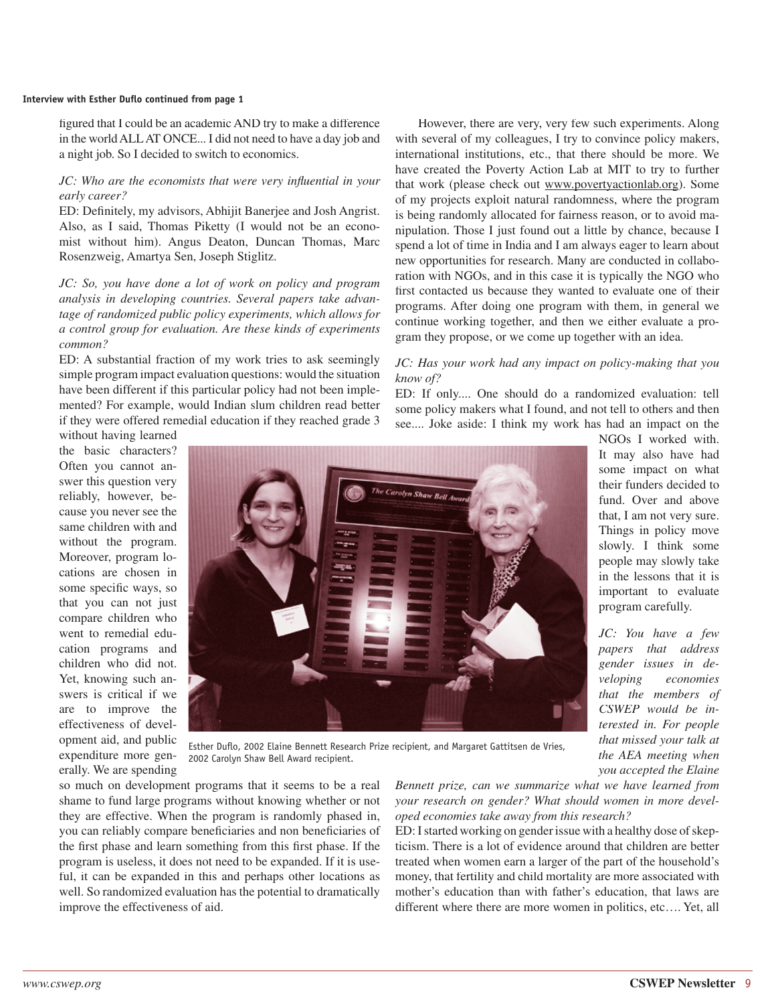#### **Interview with Esther Duflo continued from page 1**

figured that I could be an academic AND try to make a difference in the world ALL AT ONCE... I did not need to have a day job and a night job. So I decided to switch to economics.

#### *JC: Who are the economists that were very influential in your early career?*

ED: Definitely, my advisors, Abhijit Banerjee and Josh Angrist. Also, as I said, Thomas Piketty (I would not be an economist without him). Angus Deaton, Duncan Thomas, Marc Rosenzweig, Amartya Sen, Joseph Stiglitz.

*JC: So, you have done a lot of work on policy and program analysis in developing countries. Several papers take advantage of randomized public policy experiments, which allows for a control group for evaluation. Are these kinds of experiments common?*

ED: A substantial fraction of my work tries to ask seemingly simple program impact evaluation questions: would the situation have been different if this particular policy had not been implemented? For example, would Indian slum children read better if they were offered remedial education if they reached grade 3

However, there are very, very few such experiments. Along with several of my colleagues, I try to convince policy makers, international institutions, etc., that there should be more. We have created the Poverty Action Lab at MIT to try to further that work (please check out www.povertyactionlab.org). Some of my projects exploit natural randomness, where the program is being randomly allocated for fairness reason, or to avoid manipulation. Those I just found out a little by chance, because I spend a lot of time in India and I am always eager to learn about new opportunities for research. Many are conducted in collaboration with NGOs, and in this case it is typically the NGO who first contacted us because they wanted to evaluate one of their programs. After doing one program with them, in general we continue working together, and then we either evaluate a program they propose, or we come up together with an idea.

#### *JC: Has your work had any impact on policy-making that you know of?*

ED: If only.... One should do a randomized evaluation: tell some policy makers what I found, and not tell to others and then see.... Joke aside: I think my work has had an impact on the

without having learned the basic characters? Often you cannot answer this question very reliably, however, because you never see the same children with and without the program. Moreover, program locations are chosen in some specific ways, so that you can not just compare children who went to remedial education programs and children who did not. Yet, knowing such answers is critical if we are to improve the effectiveness of development aid, and public expenditure more generally. We are spending



Esther Duflo, 2002 Elaine Bennett Research Prize recipient, and Margaret Gattitsen de Vries, 2002 Carolyn Shaw Bell Award recipient.

so much on development programs that it seems to be a real shame to fund large programs without knowing whether or not they are effective. When the program is randomly phased in, you can reliably compare beneficiaries and non beneficiaries of the first phase and learn something from this first phase. If the program is useless, it does not need to be expanded. If it is useful, it can be expanded in this and perhaps other locations as well. So randomized evaluation has the potential to dramatically improve the effectiveness of aid.

*Bennett prize, can we summarize what we have learned from your research on gender? What should women in more developed economies take away from this research?* 

ED: I started working on gender issue with a healthy dose of skepticism. There is a lot of evidence around that children are better treated when women earn a larger of the part of the household's money, that fertility and child mortality are more associated with mother's education than with father's education, that laws are different where there are more women in politics, etc…. Yet, all

It may also have had some impact on what their funders decided to fund. Over and above that, I am not very sure. Things in policy move slowly. I think some people may slowly take in the lessons that it is important to evaluate program carefully.

NGOs I worked with.

*JC: You have a few papers that address gender issues in developing economies that the members of CSWEP would be interested in. For people that missed your talk at the AEA meeting when you accepted the Elaine*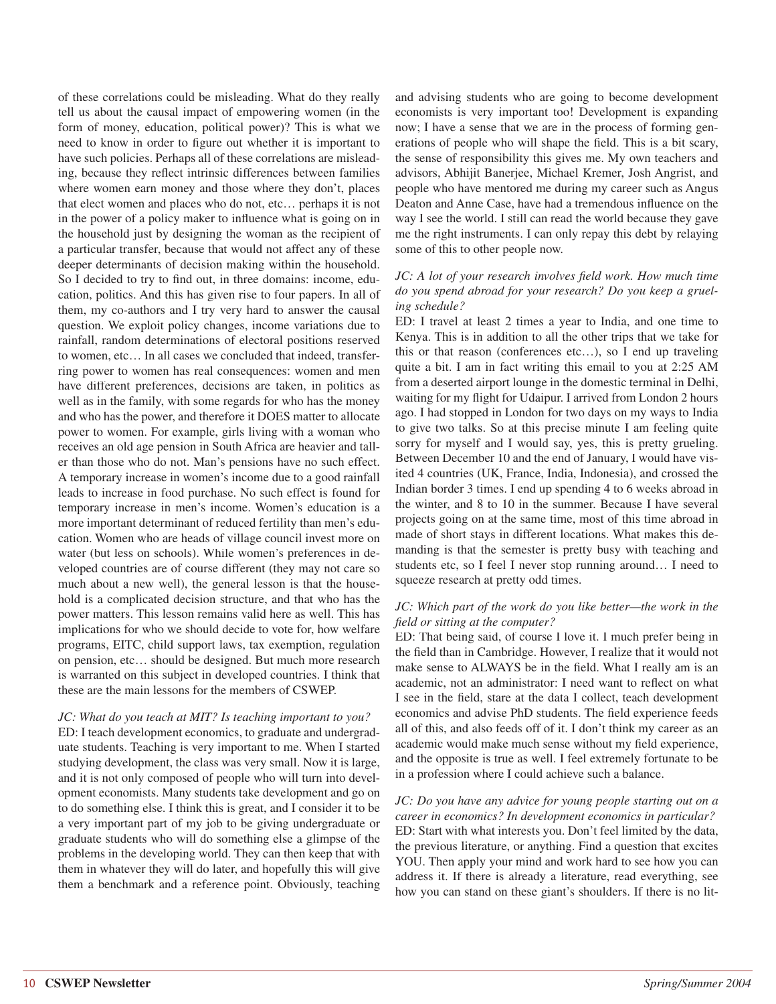of these correlations could be misleading. What do they really tell us about the causal impact of empowering women (in the form of money, education, political power)? This is what we need to know in order to figure out whether it is important to have such policies. Perhaps all of these correlations are misleading, because they reflect intrinsic differences between families where women earn money and those where they don't, places that elect women and places who do not, etc… perhaps it is not in the power of a policy maker to influence what is going on in the household just by designing the woman as the recipient of a particular transfer, because that would not affect any of these deeper determinants of decision making within the household. So I decided to try to find out, in three domains: income, education, politics. And this has given rise to four papers. In all of them, my co-authors and I try very hard to answer the causal question. We exploit policy changes, income variations due to rainfall, random determinations of electoral positions reserved to women, etc… In all cases we concluded that indeed, transferring power to women has real consequences: women and men have different preferences, decisions are taken, in politics as well as in the family, with some regards for who has the money and who has the power, and therefore it DOES matter to allocate power to women. For example, girls living with a woman who receives an old age pension in South Africa are heavier and taller than those who do not. Man's pensions have no such effect. A temporary increase in women's income due to a good rainfall leads to increase in food purchase. No such effect is found for temporary increase in men's income. Women's education is a more important determinant of reduced fertility than men's education. Women who are heads of village council invest more on water (but less on schools). While women's preferences in developed countries are of course different (they may not care so much about a new well), the general lesson is that the household is a complicated decision structure, and that who has the power matters. This lesson remains valid here as well. This has implications for who we should decide to vote for, how welfare programs, EITC, child support laws, tax exemption, regulation on pension, etc… should be designed. But much more research is warranted on this subject in developed countries. I think that these are the main lessons for the members of CSWEP.

#### *JC: What do you teach at MIT? Is teaching important to you?*

ED: I teach development economics, to graduate and undergraduate students. Teaching is very important to me. When I started studying development, the class was very small. Now it is large, and it is not only composed of people who will turn into development economists. Many students take development and go on to do something else. I think this is great, and I consider it to be a very important part of my job to be giving undergraduate or graduate students who will do something else a glimpse of the problems in the developing world. They can then keep that with them in whatever they will do later, and hopefully this will give them a benchmark and a reference point. Obviously, teaching

and advising students who are going to become development economists is very important too! Development is expanding now; I have a sense that we are in the process of forming generations of people who will shape the field. This is a bit scary, the sense of responsibility this gives me. My own teachers and advisors, Abhijit Banerjee, Michael Kremer, Josh Angrist, and people who have mentored me during my career such as Angus Deaton and Anne Case, have had a tremendous influence on the way I see the world. I still can read the world because they gave me the right instruments. I can only repay this debt by relaying some of this to other people now.

#### *JC: A lot of your research involves field work. How much time do you spend abroad for your research? Do you keep a grueling schedule?*

ED: I travel at least 2 times a year to India, and one time to Kenya. This is in addition to all the other trips that we take for this or that reason (conferences etc…), so I end up traveling quite a bit. I am in fact writing this email to you at 2:25 AM from a deserted airport lounge in the domestic terminal in Delhi, waiting for my flight for Udaipur. I arrived from London 2 hours ago. I had stopped in London for two days on my ways to India to give two talks. So at this precise minute I am feeling quite sorry for myself and I would say, yes, this is pretty grueling. Between December 10 and the end of January, I would have visited 4 countries (UK, France, India, Indonesia), and crossed the Indian border 3 times. I end up spending 4 to 6 weeks abroad in the winter, and 8 to 10 in the summer. Because I have several projects going on at the same time, most of this time abroad in made of short stays in different locations. What makes this demanding is that the semester is pretty busy with teaching and students etc, so I feel I never stop running around… I need to squeeze research at pretty odd times.

#### *JC: Which part of the work do you like better—the work in the fi eld or sitting at the computer?*

ED: That being said, of course I love it. I much prefer being in the field than in Cambridge. However, I realize that it would not make sense to ALWAYS be in the field. What I really am is an academic, not an administrator: I need want to reflect on what I see in the field, stare at the data I collect, teach development economics and advise PhD students. The field experience feeds all of this, and also feeds off of it. I don't think my career as an academic would make much sense without my field experience, and the opposite is true as well. I feel extremely fortunate to be in a profession where I could achieve such a balance.

*JC: Do you have any advice for young people starting out on a career in economics? In development economics in particular?* ED: Start with what interests you. Don't feel limited by the data, the previous literature, or anything. Find a question that excites YOU. Then apply your mind and work hard to see how you can address it. If there is already a literature, read everything, see how you can stand on these giant's shoulders. If there is no lit-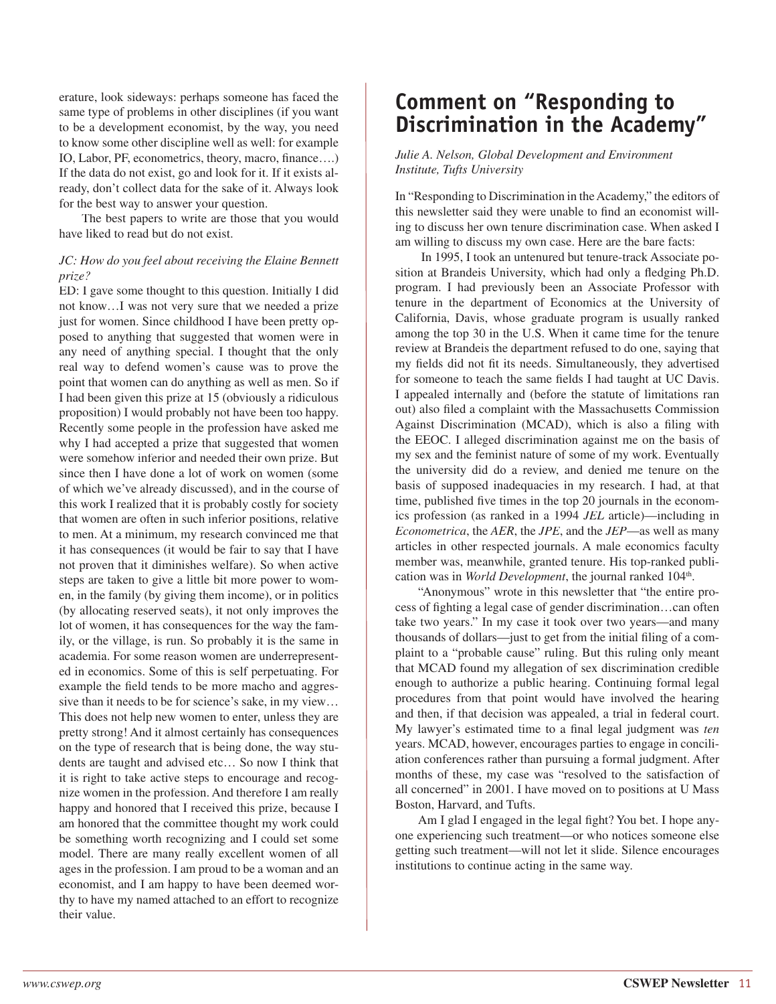erature, look sideways: perhaps someone has faced the same type of problems in other disciplines (if you want to be a development economist, by the way, you need to know some other discipline well as well: for example IO, Labor, PF, econometrics, theory, macro, finance....) If the data do not exist, go and look for it. If it exists already, don't collect data for the sake of it. Always look for the best way to answer your question.

The best papers to write are those that you would have liked to read but do not exist.

#### *JC: How do you feel about receiving the Elaine Bennett prize?*

ED: I gave some thought to this question. Initially I did not know…I was not very sure that we needed a prize just for women. Since childhood I have been pretty opposed to anything that suggested that women were in any need of anything special. I thought that the only real way to defend women's cause was to prove the point that women can do anything as well as men. So if I had been given this prize at 15 (obviously a ridiculous proposition) I would probably not have been too happy. Recently some people in the profession have asked me why I had accepted a prize that suggested that women were somehow inferior and needed their own prize. But since then I have done a lot of work on women (some of which we've already discussed), and in the course of this work I realized that it is probably costly for society that women are often in such inferior positions, relative to men. At a minimum, my research convinced me that it has consequences (it would be fair to say that I have not proven that it diminishes welfare). So when active steps are taken to give a little bit more power to women, in the family (by giving them income), or in politics (by allocating reserved seats), it not only improves the lot of women, it has consequences for the way the family, or the village, is run. So probably it is the same in academia. For some reason women are underrepresented in economics. Some of this is self perpetuating. For example the field tends to be more macho and aggressive than it needs to be for science's sake, in my view… This does not help new women to enter, unless they are pretty strong! And it almost certainly has consequences on the type of research that is being done, the way students are taught and advised etc… So now I think that it is right to take active steps to encourage and recognize women in the profession. And therefore I am really happy and honored that I received this prize, because I am honored that the committee thought my work could be something worth recognizing and I could set some model. There are many really excellent women of all ages in the profession. I am proud to be a woman and an economist, and I am happy to have been deemed worthy to have my named attached to an effort to recognize their value.

# **Comment on "Responding to Discrimination in the Academy"**

#### *Julie A. Nelson, Global Development and Environment Institute, Tufts University*

In "Responding to Discrimination in the Academy," the editors of this newsletter said they were unable to find an economist willing to discuss her own tenure discrimination case. When asked I am willing to discuss my own case. Here are the bare facts:

 In 1995, I took an untenured but tenure-track Associate position at Brandeis University, which had only a fledging Ph.D. program. I had previously been an Associate Professor with tenure in the department of Economics at the University of California, Davis, whose graduate program is usually ranked among the top 30 in the U.S. When it came time for the tenure review at Brandeis the department refused to do one, saying that my fields did not fit its needs. Simultaneously, they advertised for someone to teach the same fields I had taught at UC Davis. I appealed internally and (before the statute of limitations ran out) also filed a complaint with the Massachusetts Commission Against Discrimination (MCAD), which is also a filing with the EEOC. I alleged discrimination against me on the basis of my sex and the feminist nature of some of my work. Eventually the university did do a review, and denied me tenure on the basis of supposed inadequacies in my research. I had, at that time, published five times in the top 20 journals in the economics profession (as ranked in a 1994 *JEL* article)—including in *Econometrica*, the *AER*, the *JPE*, and the *JEP*—as well as many articles in other respected journals. A male economics faculty member was, meanwhile, granted tenure. His top-ranked publication was in *World Development*, the journal ranked 104<sup>th</sup>.

"Anonymous" wrote in this newsletter that "the entire process of fighting a legal case of gender discrimination...can often take two years." In my case it took over two years—and many thousands of dollars—just to get from the initial filing of a complaint to a "probable cause" ruling. But this ruling only meant that MCAD found my allegation of sex discrimination credible enough to authorize a public hearing. Continuing formal legal procedures from that point would have involved the hearing and then, if that decision was appealed, a trial in federal court. My lawyer's estimated time to a final legal judgment was *ten* years. MCAD, however, encourages parties to engage in conciliation conferences rather than pursuing a formal judgment. After months of these, my case was "resolved to the satisfaction of all concerned" in 2001. I have moved on to positions at U Mass Boston, Harvard, and Tufts.

Am I glad I engaged in the legal fight? You bet. I hope anyone experiencing such treatment—or who notices someone else getting such treatment—will not let it slide. Silence encourages institutions to continue acting in the same way.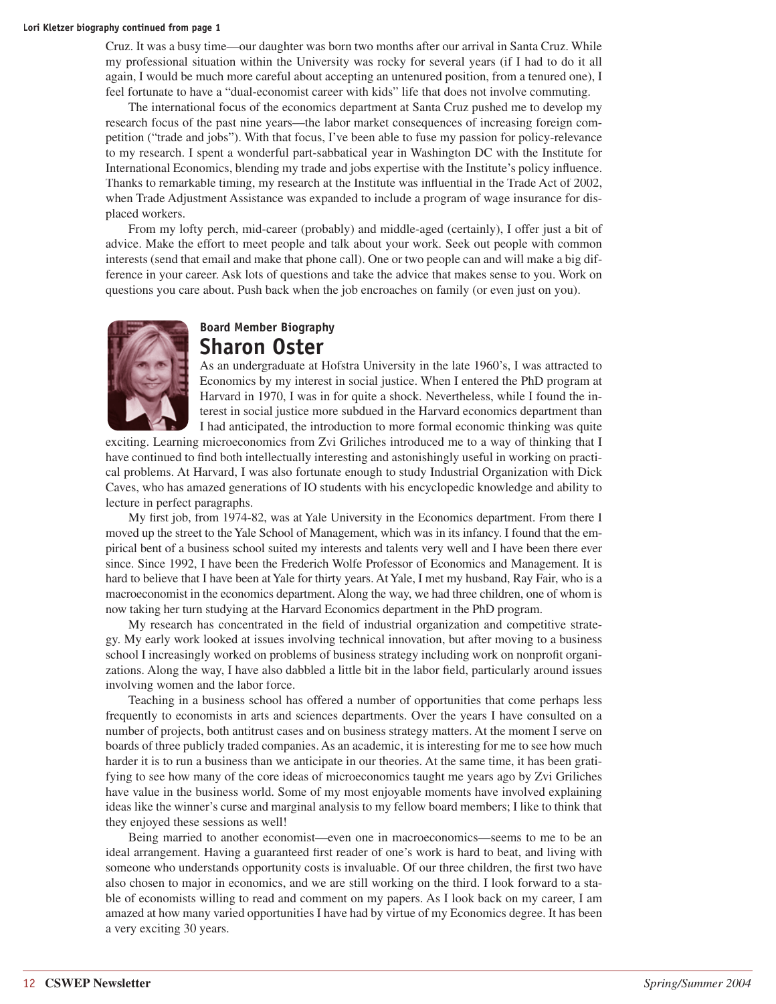Cruz. It was a busy time—our daughter was born two months after our arrival in Santa Cruz. While my professional situation within the University was rocky for several years (if I had to do it all again, I would be much more careful about accepting an untenured position, from a tenured one), I feel fortunate to have a "dual-economist career with kids" life that does not involve commuting.

The international focus of the economics department at Santa Cruz pushed me to develop my research focus of the past nine years—the labor market consequences of increasing foreign competition ("trade and jobs"). With that focus, I've been able to fuse my passion for policy-relevance to my research. I spent a wonderful part-sabbatical year in Washington DC with the Institute for International Economics, blending my trade and jobs expertise with the Institute's policy influence. Thanks to remarkable timing, my research at the Institute was influential in the Trade Act of 2002, when Trade Adjustment Assistance was expanded to include a program of wage insurance for displaced workers.

From my lofty perch, mid-career (probably) and middle-aged (certainly), I offer just a bit of advice. Make the effort to meet people and talk about your work. Seek out people with common interests (send that email and make that phone call). One or two people can and will make a big difference in your career. Ask lots of questions and take the advice that makes sense to you. Work on questions you care about. Push back when the job encroaches on family (or even just on you).



### **Board Member Biography Sharon Oster**

As an undergraduate at Hofstra University in the late 1960's, I was attracted to Economics by my interest in social justice. When I entered the PhD program at Harvard in 1970, I was in for quite a shock. Nevertheless, while I found the interest in social justice more subdued in the Harvard economics department than I had anticipated, the introduction to more formal economic thinking was quite

exciting. Learning microeconomics from Zvi Griliches introduced me to a way of thinking that I have continued to find both intellectually interesting and astonishingly useful in working on practical problems. At Harvard, I was also fortunate enough to study Industrial Organization with Dick Caves, who has amazed generations of IO students with his encyclopedic knowledge and ability to lecture in perfect paragraphs.

My first job, from 1974-82, was at Yale University in the Economics department. From there I moved up the street to the Yale School of Management, which was in its infancy. I found that the empirical bent of a business school suited my interests and talents very well and I have been there ever since. Since 1992, I have been the Frederich Wolfe Professor of Economics and Management. It is hard to believe that I have been at Yale for thirty years. At Yale, I met my husband, Ray Fair, who is a macroeconomist in the economics department. Along the way, we had three children, one of whom is now taking her turn studying at the Harvard Economics department in the PhD program.

My research has concentrated in the field of industrial organization and competitive strategy. My early work looked at issues involving technical innovation, but after moving to a business school I increasingly worked on problems of business strategy including work on nonprofi t organizations. Along the way, I have also dabbled a little bit in the labor field, particularly around issues involving women and the labor force.

Teaching in a business school has offered a number of opportunities that come perhaps less frequently to economists in arts and sciences departments. Over the years I have consulted on a number of projects, both antitrust cases and on business strategy matters. At the moment I serve on boards of three publicly traded companies. As an academic, it is interesting for me to see how much harder it is to run a business than we anticipate in our theories. At the same time, it has been gratifying to see how many of the core ideas of microeconomics taught me years ago by Zvi Griliches have value in the business world. Some of my most enjoyable moments have involved explaining ideas like the winner's curse and marginal analysis to my fellow board members; I like to think that they enjoyed these sessions as well!

Being married to another economist—even one in macroeconomics—seems to me to be an ideal arrangement. Having a guaranteed first reader of one's work is hard to beat, and living with someone who understands opportunity costs is invaluable. Of our three children, the first two have also chosen to major in economics, and we are still working on the third. I look forward to a stable of economists willing to read and comment on my papers. As I look back on my career, I am amazed at how many varied opportunities I have had by virtue of my Economics degree. It has been a very exciting 30 years.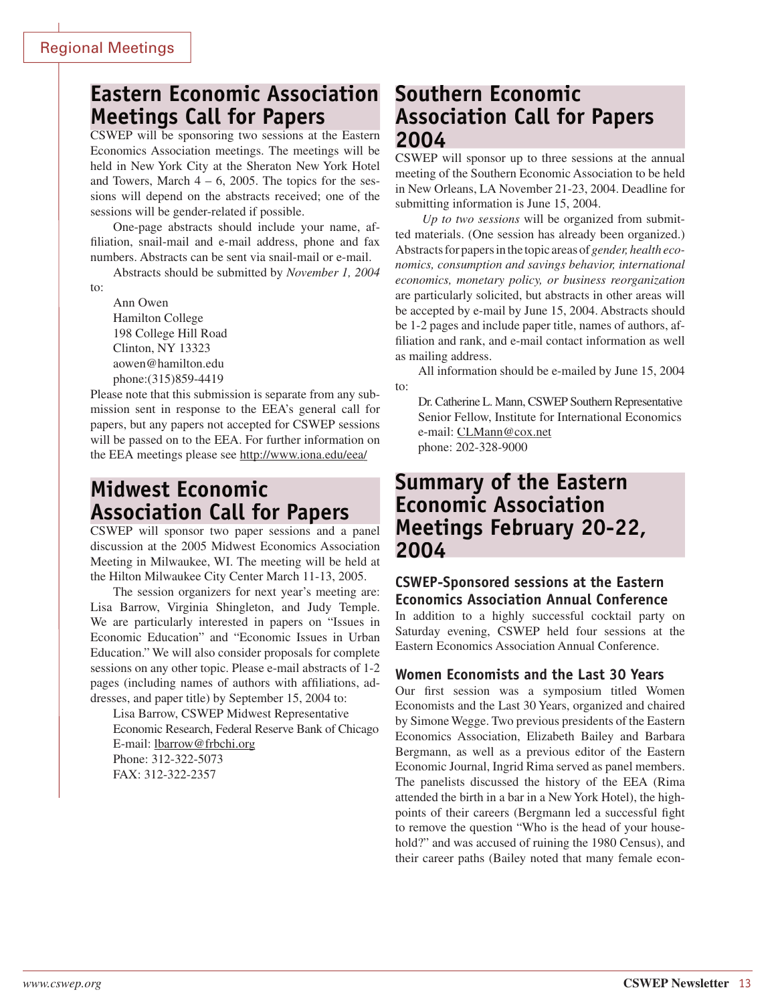# **Eastern Economic Association Meetings Call for Papers**

CSWEP will be sponsoring two sessions at the Eastern Economics Association meetings. The meetings will be held in New York City at the Sheraton New York Hotel and Towers, March  $4 - 6$ , 2005. The topics for the sessions will depend on the abstracts received; one of the sessions will be gender-related if possible.

One-page abstracts should include your name, affiliation, snail-mail and e-mail address, phone and fax numbers. Abstracts can be sent via snail-mail or e-mail.

Abstracts should be submitted by *November 1, 2004*

to:

Ann Owen Hamilton College 198 College Hill Road Clinton, NY 13323 aowen@hamilton.edu phone:(315)859-4419

Please note that this submission is separate from any submission sent in response to the EEA's general call for papers, but any papers not accepted for CSWEP sessions will be passed on to the EEA. For further information on the EEA meetings please see http://www.iona.edu/eea/

# **Midwest Economic Association Call for Papers**

CSWEP will sponsor two paper sessions and a panel discussion at the 2005 Midwest Economics Association Meeting in Milwaukee, WI. The meeting will be held at the Hilton Milwaukee City Center March 11-13, 2005.

The session organizers for next year's meeting are: Lisa Barrow, Virginia Shingleton, and Judy Temple. We are particularly interested in papers on "Issues in Economic Education" and "Economic Issues in Urban Education." We will also consider proposals for complete sessions on any other topic. Please e-mail abstracts of 1-2 pages (including names of authors with affiliations, addresses, and paper title) by September 15, 2004 to:

Lisa Barrow, CSWEP Midwest Representative Economic Research, Federal Reserve Bank of Chicago E-mail: lbarrow@frbchi.org Phone: 312-322-5073 FAX: 312-322-2357

# **Southern Economic Association Call for Papers 2004**

CSWEP will sponsor up to three sessions at the annual meeting of the Southern Economic Association to be held in New Orleans, LA November 21-23, 2004. Deadline for submitting information is June 15, 2004.

*Up to two sessions* will be organized from submitted materials. (One session has already been organized.) Abstracts for papers in the topic areas of *gender, health economics, consumption and savings behavior, international economics, monetary policy, or business reorganization*  are particularly solicited, but abstracts in other areas will be accepted by e-mail by June 15, 2004. Abstracts should be 1-2 pages and include paper title, names of authors, affiliation and rank, and e-mail contact information as well as mailing address.

All information should be e-mailed by June 15, 2004 to:

Dr. Catherine L. Mann, CSWEP Southern Representative Senior Fellow, Institute for International Economics e-mail: CLMann@cox.net phone: 202-328-9000

# **Summary of the Eastern Economic Association Meetings February 20-22, 2004**

### **CSWEP-Sponsored sessions at the Eastern Economics Association Annual Conference**

In addition to a highly successful cocktail party on Saturday evening, CSWEP held four sessions at the Eastern Economics Association Annual Conference.

### **Women Economists and the Last 30 Years**

Our first session was a symposium titled Women Economists and the Last 30 Years, organized and chaired by Simone Wegge. Two previous presidents of the Eastern Economics Association, Elizabeth Bailey and Barbara Bergmann, as well as a previous editor of the Eastern Economic Journal, Ingrid Rima served as panel members. The panelists discussed the history of the EEA (Rima attended the birth in a bar in a New York Hotel), the highpoints of their careers (Bergmann led a successful fight to remove the question "Who is the head of your household?" and was accused of ruining the 1980 Census), and their career paths (Bailey noted that many female econ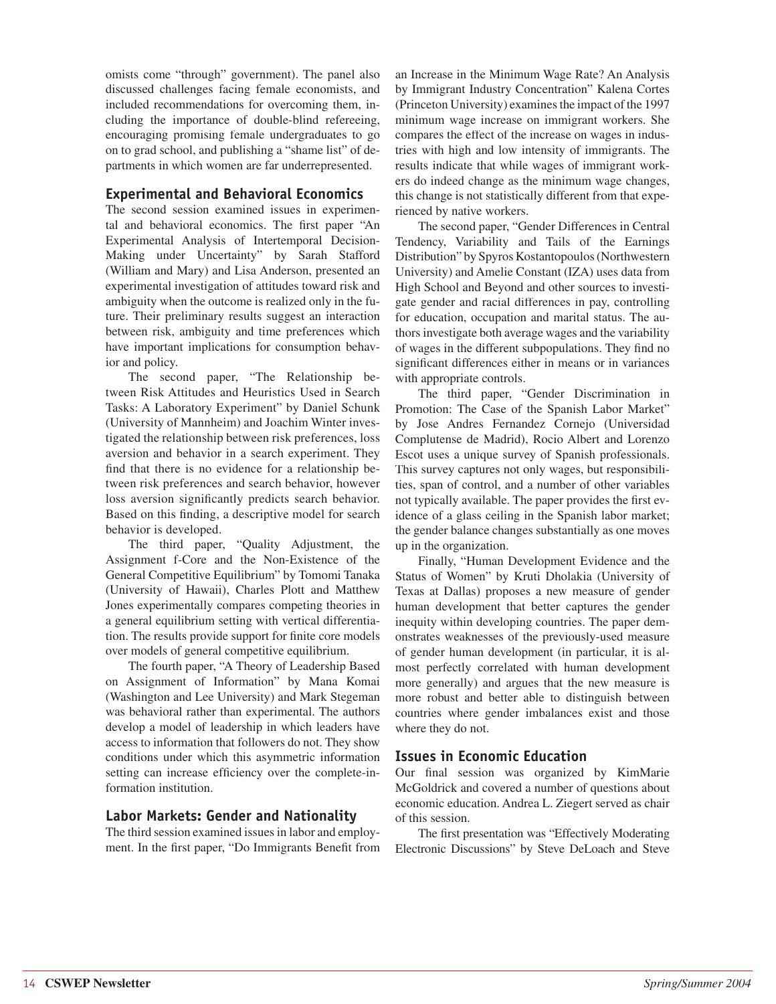omists come "through" government). The panel also discussed challenges facing female economists, and included recommendations for overcoming them, including the importance of double-blind refereeing, encouraging promising female undergraduates to go on to grad school, and publishing a "shame list" of departments in which women are far underrepresented.

### **Experimental and Behavioral Economics**

The second session examined issues in experimental and behavioral economics. The first paper "An Experimental Analysis of Intertemporal Decision-Making under Uncertainty" by Sarah Stafford (William and Mary) and Lisa Anderson, presented an experimental investigation of attitudes toward risk and ambiguity when the outcome is realized only in the future. Their preliminary results suggest an interaction between risk, ambiguity and time preferences which have important implications for consumption behavior and policy.

The second paper, "The Relationship between Risk Attitudes and Heuristics Used in Search Tasks: A Laboratory Experiment" by Daniel Schunk (University of Mannheim) and Joachim Winter investigated the relationship between risk preferences, loss aversion and behavior in a search experiment. They find that there is no evidence for a relationship between risk preferences and search behavior, however loss aversion significantly predicts search behavior. Based on this finding, a descriptive model for search behavior is developed.

The third paper, "Quality Adjustment, the Assignment f-Core and the Non-Existence of the General Competitive Equilibrium" by Tomomi Tanaka (University of Hawaii), Charles Plott and Matthew Jones experimentally compares competing theories in a general equilibrium setting with vertical differentiation. The results provide support for finite core models over models of general competitive equilibrium.

The fourth paper, "A Theory of Leadership Based on Assignment of Information" by Mana Komai (Washington and Lee University) and Mark Stegeman was behavioral rather than experimental. The authors develop a model of leadership in which leaders have access to information that followers do not. They show conditions under which this asymmetric information setting can increase efficiency over the complete-information institution.

### **Labor Markets: Gender and Nationality**

The third session examined issues in labor and employment. In the first paper, "Do Immigrants Benefit from an Increase in the Minimum Wage Rate? An Analysis by Immigrant Industry Concentration" Kalena Cortes (Princeton University) examines the impact of the 1997 minimum wage increase on immigrant workers. She compares the effect of the increase on wages in industries with high and low intensity of immigrants. The results indicate that while wages of immigrant workers do indeed change as the minimum wage changes, this change is not statistically different from that experienced by native workers.

The second paper, "Gender Differences in Central Tendency, Variability and Tails of the Earnings Distribution" by Spyros Kostantopoulos (Northwestern University) and Amelie Constant (IZA) uses data from High School and Beyond and other sources to investigate gender and racial differences in pay, controlling for education, occupation and marital status. The authors investigate both average wages and the variability of wages in the different subpopulations. They find no significant differences either in means or in variances with appropriate controls.

The third paper, "Gender Discrimination in Promotion: The Case of the Spanish Labor Market" by Jose Andres Fernandez Cornejo (Universidad Complutense de Madrid), Rocio Albert and Lorenzo Escot uses a unique survey of Spanish professionals. This survey captures not only wages, but responsibilities, span of control, and a number of other variables not typically available. The paper provides the first evidence of a glass ceiling in the Spanish labor market; the gender balance changes substantially as one moves up in the organization.

Finally, "Human Development Evidence and the Status of Women" by Kruti Dholakia (University of Texas at Dallas) proposes a new measure of gender human development that better captures the gender inequity within developing countries. The paper demonstrates weaknesses of the previously-used measure of gender human development (in particular, it is almost perfectly correlated with human development more generally) and argues that the new measure is more robust and better able to distinguish between countries where gender imbalances exist and those where they do not.

### **Issues in Economic Education**

Our final session was organized by KimMarie McGoldrick and covered a number of questions about economic education. Andrea L. Ziegert served as chair of this session.

The first presentation was "Effectively Moderating" Electronic Discussions" by Steve DeLoach and Steve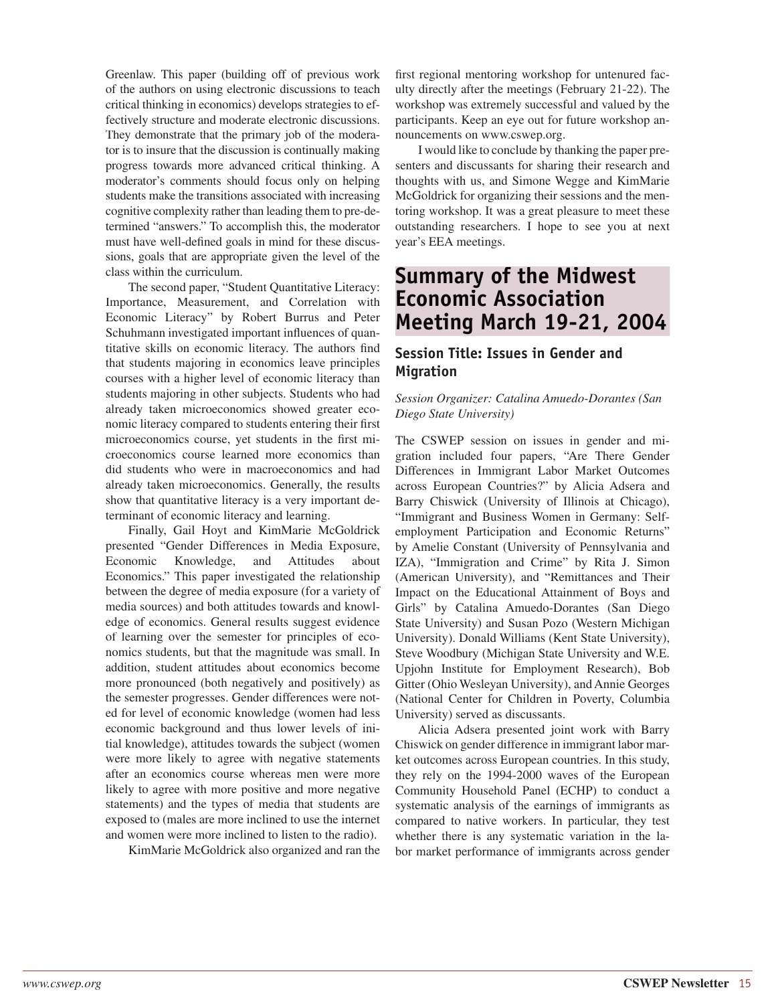Greenlaw. This paper (building off of previous work of the authors on using electronic discussions to teach critical thinking in economics) develops strategies to effectively structure and moderate electronic discussions. They demonstrate that the primary job of the moderator is to insure that the discussion is continually making progress towards more advanced critical thinking. A moderator's comments should focus only on helping students make the transitions associated with increasing cognitive complexity rather than leading them to pre-determined "answers." To accomplish this, the moderator must have well-defined goals in mind for these discussions, goals that are appropriate given the level of the class within the curriculum.

The second paper, "Student Quantitative Literacy: Importance, Measurement, and Correlation with Economic Literacy" by Robert Burrus and Peter Schuhmann investigated important influences of quantitative skills on economic literacy. The authors find that students majoring in economics leave principles courses with a higher level of economic literacy than students majoring in other subjects. Students who had already taken microeconomics showed greater economic literacy compared to students entering their first microeconomics course, yet students in the first microeconomics course learned more economics than did students who were in macroeconomics and had already taken microeconomics. Generally, the results show that quantitative literacy is a very important determinant of economic literacy and learning.

Finally, Gail Hoyt and KimMarie McGoldrick presented "Gender Differences in Media Exposure, Economic Knowledge, and Attitudes about Economics." This paper investigated the relationship between the degree of media exposure (for a variety of media sources) and both attitudes towards and knowledge of economics. General results suggest evidence of learning over the semester for principles of economics students, but that the magnitude was small. In addition, student attitudes about economics become more pronounced (both negatively and positively) as the semester progresses. Gender differences were noted for level of economic knowledge (women had less economic background and thus lower levels of initial knowledge), attitudes towards the subject (women were more likely to agree with negative statements after an economics course whereas men were more likely to agree with more positive and more negative statements) and the types of media that students are exposed to (males are more inclined to use the internet and women were more inclined to listen to the radio).

KimMarie McGoldrick also organized and ran the

first regional mentoring workshop for untenured faculty directly after the meetings (February 21-22). The workshop was extremely successful and valued by the participants. Keep an eye out for future workshop announcements on www.cswep.org.

I would like to conclude by thanking the paper presenters and discussants for sharing their research and thoughts with us, and Simone Wegge and KimMarie McGoldrick for organizing their sessions and the mentoring workshop. It was a great pleasure to meet these outstanding researchers. I hope to see you at next year's EEA meetings.

# **Summary of the Midwest Economic Association Meeting March 19-21, 2004**

### **Session Title: Issues in Gender and Migration**

#### *Session Organizer: Catalina Amuedo-Dorantes (San Diego State University)*

The CSWEP session on issues in gender and migration included four papers, "Are There Gender Differences in Immigrant Labor Market Outcomes across European Countries?" by Alicia Adsera and Barry Chiswick (University of Illinois at Chicago), "Immigrant and Business Women in Germany: Selfemployment Participation and Economic Returns" by Amelie Constant (University of Pennsylvania and IZA), "Immigration and Crime" by Rita J. Simon (American University), and "Remittances and Their Impact on the Educational Attainment of Boys and Girls" by Catalina Amuedo-Dorantes (San Diego State University) and Susan Pozo (Western Michigan University). Donald Williams (Kent State University), Steve Woodbury (Michigan State University and W.E. Upjohn Institute for Employment Research), Bob Gitter (Ohio Wesleyan University), and Annie Georges (National Center for Children in Poverty, Columbia University) served as discussants.

Alicia Adsera presented joint work with Barry Chiswick on gender difference in immigrant labor market outcomes across European countries. In this study, they rely on the 1994-2000 waves of the European Community Household Panel (ECHP) to conduct a systematic analysis of the earnings of immigrants as compared to native workers. In particular, they test whether there is any systematic variation in the labor market performance of immigrants across gender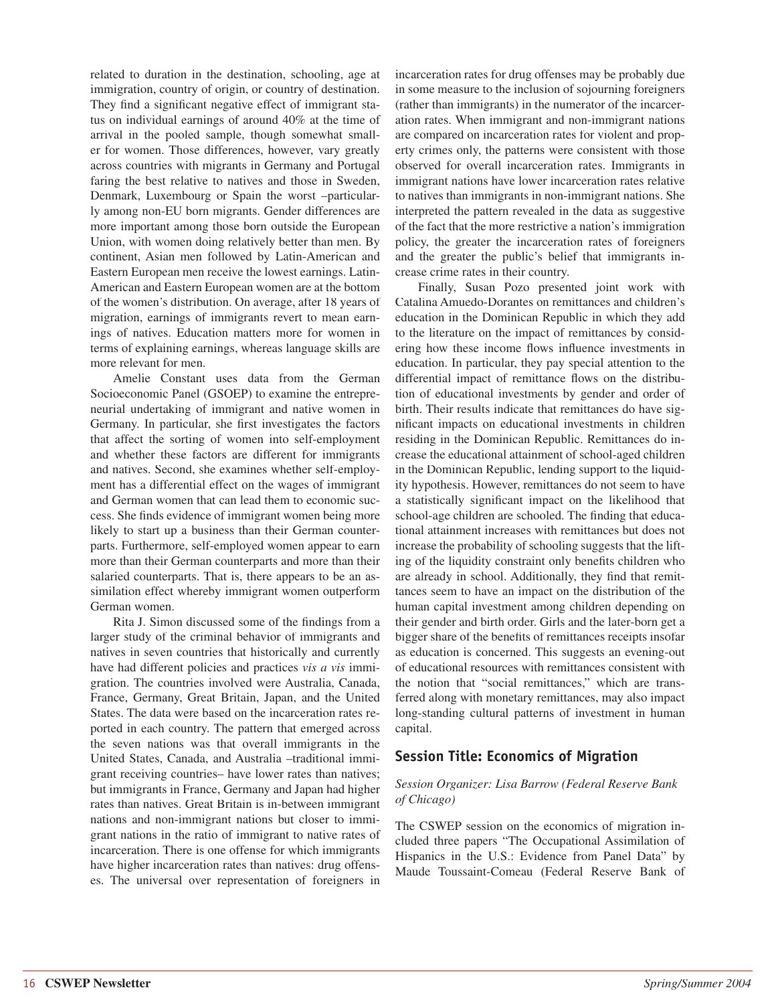related to duration in the destination, schooling, age at immigration, country of origin, or country of destination. They find a significant negative effect of immigrant status on individual earnings of around 40% at the time of arrival in the pooled sample, though somewhat smaller for women. Those differences, however, vary greatly across countries with migrants in Germany and Portugal faring the best relative to natives and those in Sweden, Denmark, Luxembourg or Spain the worst –particularly among non-EU born migrants. Gender differences are more important among those born outside the European Union, with women doing relatively better than men. By continent, Asian men followed by Latin-American and Eastern European men receive the lowest earnings. Latin-American and Eastern European women are at the bottom of the women's distribution. On average, after 18 years of migration, earnings of immigrants revert to mean earnings of natives. Education matters more for women in terms of explaining earnings, whereas language skills are more relevant for men.

Amelie Constant uses data from the German Socioeconomic Panel (GSOEP) to examine the entrepreneurial undertaking of immigrant and native women in Germany. In particular, she first investigates the factors that affect the sorting of women into self-employment and whether these factors are different for immigrants and natives. Second, she examines whether self-employment has a differential effect on the wages of immigrant and German women that can lead them to economic success. She finds evidence of immigrant women being more likely to start up a business than their German counterparts. Furthermore, self-employed women appear to earn more than their German counterparts and more than their salaried counterparts. That is, there appears to be an assimilation effect whereby immigrant women outperform German women.

Rita J. Simon discussed some of the findings from a larger study of the criminal behavior of immigrants and natives in seven countries that historically and currently have had different policies and practices *vis a vis* immigration. The countries involved were Australia, Canada, France, Germany, Great Britain, Japan, and the United States. The data were based on the incarceration rates reported in each country. The pattern that emerged across the seven nations was that overall immigrants in the United States, Canada, and Australia –traditional immigrant receiving countries– have lower rates than natives; but immigrants in France, Germany and Japan had higher rates than natives. Great Britain is in-between immigrant nations and non-immigrant nations but closer to immigrant nations in the ratio of immigrant to native rates of incarceration. There is one offense for which immigrants have higher incarceration rates than natives: drug offenses. The universal over representation of foreigners in

incarceration rates for drug offenses may be probably due in some measure to the inclusion of sojourning foreigners (rather than immigrants) in the numerator of the incarceration rates. When immigrant and non-immigrant nations are compared on incarceration rates for violent and property crimes only, the patterns were consistent with those observed for overall incarceration rates. Immigrants in immigrant nations have lower incarceration rates relative to natives than immigrants in non-immigrant nations. She interpreted the pattern revealed in the data as suggestive of the fact that the more restrictive a nation's immigration policy, the greater the incarceration rates of foreigners and the greater the public's belief that immigrants increase crime rates in their country.

Finally, Susan Pozo presented joint work with Catalina Amuedo-Dorantes on remittances and children's education in the Dominican Republic in which they add to the literature on the impact of remittances by considering how these income flows influence investments in education. In particular, they pay special attention to the differential impact of remittance flows on the distribution of educational investments by gender and order of birth. Their results indicate that remittances do have significant impacts on educational investments in children residing in the Dominican Republic. Remittances do increase the educational attainment of school-aged children in the Dominican Republic, lending support to the liquidity hypothesis. However, remittances do not seem to have a statistically significant impact on the likelihood that school-age children are schooled. The finding that educational attainment increases with remittances but does not increase the probability of schooling suggests that the lifting of the liquidity constraint only benefits children who are already in school. Additionally, they find that remittances seem to have an impact on the distribution of the human capital investment among children depending on their gender and birth order. Girls and the later-born get a bigger share of the benefits of remittances receipts insofar as education is concerned. This suggests an evening-out of educational resources with remittances consistent with the notion that "social remittances," which are transferred along with monetary remittances, may also impact long-standing cultural patterns of investment in human capital.

### **Session Title: Economics of Migration**

#### *Session Organizer: Lisa Barrow (Federal Reserve Bank of Chicago)*

The CSWEP session on the economics of migration included three papers "The Occupational Assimilation of Hispanics in the U.S.: Evidence from Panel Data" by Maude Toussaint-Comeau (Federal Reserve Bank of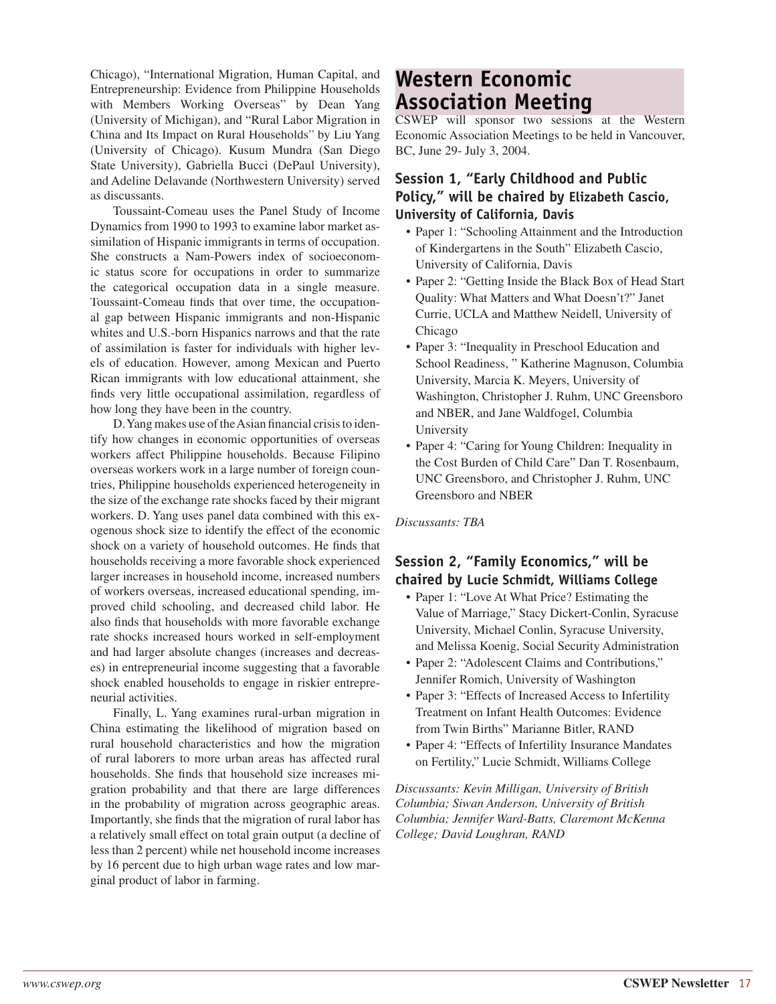Chicago), "International Migration, Human Capital, and Entrepreneurship: Evidence from Philippine Households with Members Working Overseas" by Dean Yang (University of Michigan), and "Rural Labor Migration in China and Its Impact on Rural Households" by Liu Yang (University of Chicago). Kusum Mundra (San Diego State University), Gabriella Bucci (DePaul University), and Adeline Delavande (Northwestern University) served as discussants.

Toussaint-Comeau uses the Panel Study of Income Dynamics from 1990 to 1993 to examine labor market assimilation of Hispanic immigrants in terms of occupation. She constructs a Nam-Powers index of socioeconomic status score for occupations in order to summarize the categorical occupation data in a single measure. Toussaint-Comeau finds that over time, the occupational gap between Hispanic immigrants and non-Hispanic whites and U.S.-born Hispanics narrows and that the rate of assimilation is faster for individuals with higher levels of education. However, among Mexican and Puerto Rican immigrants with low educational attainment, she finds very little occupational assimilation, regardless of how long they have been in the country.

D. Yang makes use of the Asian financial crisis to identify how changes in economic opportunities of overseas workers affect Philippine households. Because Filipino overseas workers work in a large number of foreign countries, Philippine households experienced heterogeneity in the size of the exchange rate shocks faced by their migrant workers. D. Yang uses panel data combined with this exogenous shock size to identify the effect of the economic shock on a variety of household outcomes. He finds that households receiving a more favorable shock experienced larger increases in household income, increased numbers of workers overseas, increased educational spending, improved child schooling, and decreased child labor. He also finds that households with more favorable exchange rate shocks increased hours worked in self-employment and had larger absolute changes (increases and decreases) in entrepreneurial income suggesting that a favorable shock enabled households to engage in riskier entrepreneurial activities.

Finally, L. Yang examines rural-urban migration in China estimating the likelihood of migration based on rural household characteristics and how the migration of rural laborers to more urban areas has affected rural households. She finds that household size increases migration probability and that there are large differences in the probability of migration across geographic areas. Importantly, she finds that the migration of rural labor has a relatively small effect on total grain output (a decline of less than 2 percent) while net household income increases by 16 percent due to high urban wage rates and low marginal product of labor in farming.

# **Western Economic Association Meeting**

CSWEP will sponsor two sessions at the Western Economic Association Meetings to be held in Vancouver, BC, June 29- July 3, 2004.

### **Session 1, "Early Childhood and Public Policy," will be chaired by Elizabeth Cascio, University of California, Davis**

- Paper 1: "Schooling Attainment and the Introduction of Kindergartens in the South" Elizabeth Cascio, University of California, Davis
- Paper 2: "Getting Inside the Black Box of Head Start Quality: What Matters and What Doesn't?" Janet Currie, UCLA and Matthew Neidell, University of Chicago
- Paper 3: "Inequality in Preschool Education and School Readiness, " Katherine Magnuson, Columbia University, Marcia K. Meyers, University of Washington, Christopher J. Ruhm, UNC Greensboro and NBER, and Jane Waldfogel, Columbia University
- Paper 4: "Caring for Young Children: Inequality in the Cost Burden of Child Care" Dan T. Rosenbaum, UNC Greensboro, and Christopher J. Ruhm, UNC Greensboro and NBER

*Discussants: TBA*

### **Session 2, "Family Economics," will be chaired by Lucie Schmidt, Williams College**

- Paper 1: "Love At What Price? Estimating the Value of Marriage," Stacy Dickert-Conlin, Syracuse University, Michael Conlin, Syracuse University, and Melissa Koenig, Social Security Administration
- Paper 2: "Adolescent Claims and Contributions," Jennifer Romich, University of Washington
- Paper 3: "Effects of Increased Access to Infertility Treatment on Infant Health Outcomes: Evidence from Twin Births" Marianne Bitler, RAND
- Paper 4: "Effects of Infertility Insurance Mandates on Fertility," Lucie Schmidt, Williams College

*Discussants: Kevin Milligan, University of British Columbia; Siwan Anderson, University of British Columbia; Jennifer Ward-Batts, Claremont McKenna College; David Loughran, RAND*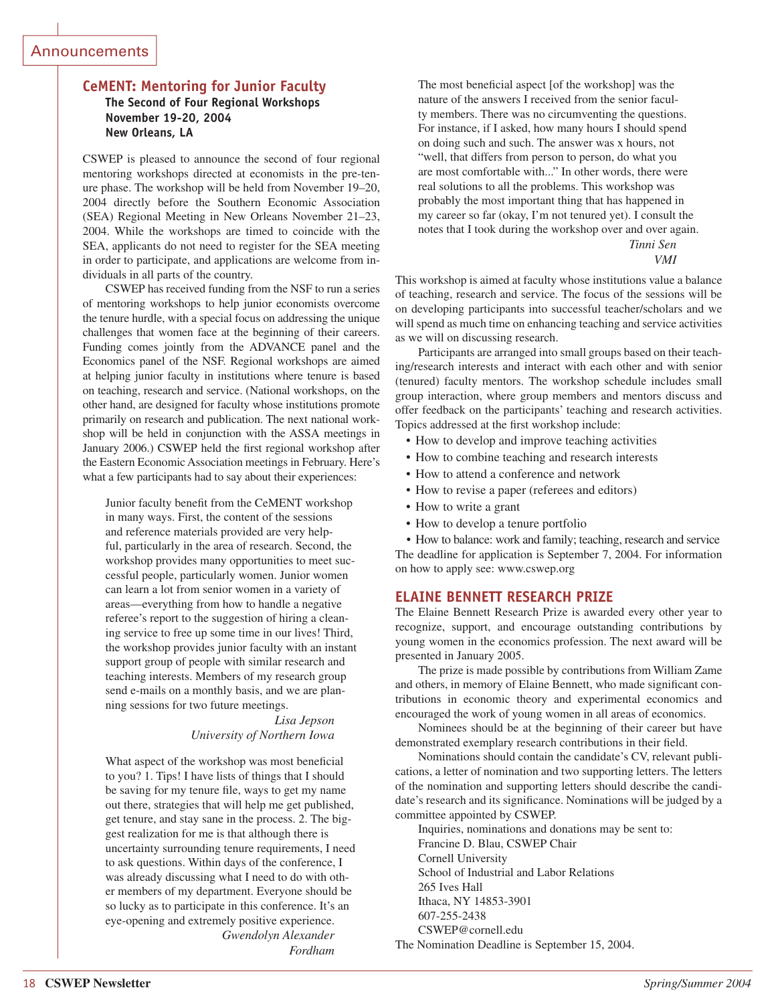#### Announcements

#### **CeMENT: Mentoring for Junior Faculty**

**The Second of Four Regional Workshops November 19-20, 2004 New Orleans, LA**

CSWEP is pleased to announce the second of four regional mentoring workshops directed at economists in the pre-tenure phase. The workshop will be held from November 19–20, 2004 directly before the Southern Economic Association (SEA) Regional Meeting in New Orleans November 21–23, 2004. While the workshops are timed to coincide with the SEA, applicants do not need to register for the SEA meeting in order to participate, and applications are welcome from individuals in all parts of the country.

CSWEP has received funding from the NSF to run a series of mentoring workshops to help junior economists overcome the tenure hurdle, with a special focus on addressing the unique challenges that women face at the beginning of their careers. Funding comes jointly from the ADVANCE panel and the Economics panel of the NSF. Regional workshops are aimed at helping junior faculty in institutions where tenure is based on teaching, research and service. (National workshops, on the other hand, are designed for faculty whose institutions promote primarily on research and publication. The next national workshop will be held in conjunction with the ASSA meetings in January 2006.) CSWEP held the first regional workshop after the Eastern Economic Association meetings in February. Here's what a few participants had to say about their experiences:

Junior faculty benefit from the CeMENT workshop in many ways. First, the content of the sessions and reference materials provided are very helpful, particularly in the area of research. Second, the workshop provides many opportunities to meet successful people, particularly women. Junior women can learn a lot from senior women in a variety of areas—everything from how to handle a negative referee's report to the suggestion of hiring a cleaning service to free up some time in our lives! Third, the workshop provides junior faculty with an instant support group of people with similar research and teaching interests. Members of my research group send e-mails on a monthly basis, and we are planning sessions for two future meetings.

> *Lisa Jepson University of Northern Iowa*

What aspect of the workshop was most beneficial to you? 1. Tips! I have lists of things that I should be saving for my tenure file, ways to get my name out there, strategies that will help me get published, get tenure, and stay sane in the process. 2. The biggest realization for me is that although there is uncertainty surrounding tenure requirements, I need to ask questions. Within days of the conference, I was already discussing what I need to do with other members of my department. Everyone should be so lucky as to participate in this conference. It's an eye-opening and extremely positive experience. *Gwendolyn Alexander Fordham*

The most beneficial aspect [of the workshop] was the nature of the answers I received from the senior faculty members. There was no circumventing the questions. For instance, if I asked, how many hours I should spend on doing such and such. The answer was x hours, not "well, that differs from person to person, do what you are most comfortable with..." In other words, there were real solutions to all the problems. This workshop was probably the most important thing that has happened in my career so far (okay, I'm not tenured yet). I consult the notes that I took during the workshop over and over again. *Tinni Sen*

*VMI*

This workshop is aimed at faculty whose institutions value a balance of teaching, research and service. The focus of the sessions will be on developing participants into successful teacher/scholars and we will spend as much time on enhancing teaching and service activities as we will on discussing research.

Participants are arranged into small groups based on their teaching/research interests and interact with each other and with senior (tenured) faculty mentors. The workshop schedule includes small group interaction, where group members and mentors discuss and offer feedback on the participants' teaching and research activities. Topics addressed at the first workshop include:

- How to develop and improve teaching activities
- How to combine teaching and research interests
- How to attend a conference and network
- How to revise a paper (referees and editors)
- How to write a grant
- How to develop a tenure portfolio

 • How to balance: work and family; teaching, research and service The deadline for application is September 7, 2004. For information on how to apply see: www.cswep.org

#### **ELAINE BENNETT RESEARCH PRIZE**

The Elaine Bennett Research Prize is awarded every other year to recognize, support, and encourage outstanding contributions by young women in the economics profession. The next award will be presented in January 2005.

The prize is made possible by contributions from William Zame and others, in memory of Elaine Bennett, who made significant contributions in economic theory and experimental economics and encouraged the work of young women in all areas of economics.

Nominees should be at the beginning of their career but have demonstrated exemplary research contributions in their field.

Nominations should contain the candidate's CV, relevant publications, a letter of nomination and two supporting letters. The letters of the nomination and supporting letters should describe the candidate's research and its significance. Nominations will be judged by a committee appointed by CSWEP.

Inquiries, nominations and donations may be sent to:

Francine D. Blau, CSWEP Chair Cornell University School of Industrial and Labor Relations 265 Ives Hall Ithaca, NY 14853-3901 607-255-2438 CSWEP@cornell.edu

The Nomination Deadline is September 15, 2004.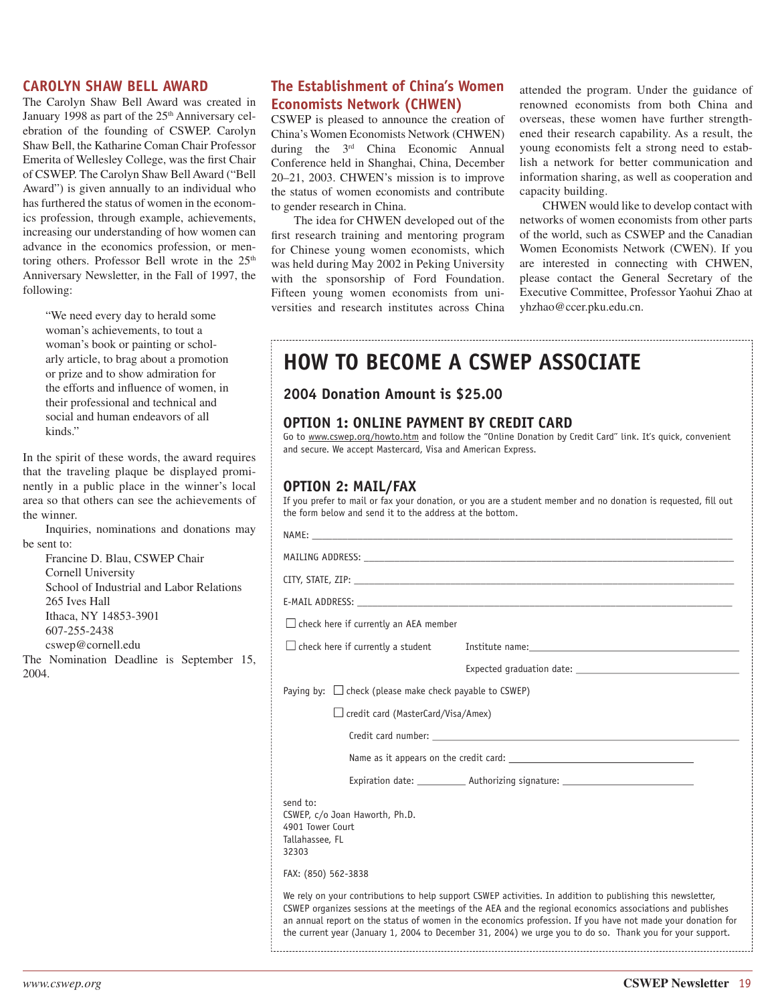#### **CAROLYN SHAW BELL AWARD**

The Carolyn Shaw Bell Award was created in January 1998 as part of the 25<sup>th</sup> Anniversary celebration of the founding of CSWEP. Carolyn Shaw Bell, the Katharine Coman Chair Professor Emerita of Wellesley College, was the first Chair of CSWEP. The Carolyn Shaw Bell Award ("Bell Award") is given annually to an individual who has furthered the status of women in the economics profession, through example, achievements, increasing our understanding of how women can advance in the economics profession, or mentoring others. Professor Bell wrote in the  $25<sup>th</sup>$ Anniversary Newsletter, in the Fall of 1997, the following:

"We need every day to herald some woman's achievements, to tout a woman's book or painting or scholarly article, to brag about a promotion or prize and to show admiration for the efforts and influence of women, in their professional and technical and social and human endeavors of all kinds."

In the spirit of these words, the award requires that the traveling plaque be displayed prominently in a public place in the winner's local area so that others can see the achievements of the winner.

Inquiries, nominations and donations may be sent to:

Francine D. Blau, CSWEP Chair Cornell University School of Industrial and Labor Relations 265 Ives Hall Ithaca, NY 14853-3901 607-255-2438 cswep@cornell.edu

The Nomination Deadline is September 15, 2004.

### **The Establishment of China's Women Economists Network (CHWEN)**

CSWEP is pleased to announce the creation of China's Women Economists Network (CHWEN) during the 3rd China Economic Annual Conference held in Shanghai, China, December 20–21, 2003. CHWEN's mission is to improve the status of women economists and contribute to gender research in China.

The idea for CHWEN developed out of the first research training and mentoring program for Chinese young women economists, which was held during May 2002 in Peking University with the sponsorship of Ford Foundation. Fifteen young women economists from universities and research institutes across China attended the program. Under the guidance of renowned economists from both China and overseas, these women have further strengthened their research capability. As a result, the young economists felt a strong need to establish a network for better communication and information sharing, as well as cooperation and capacity building.

CHWEN would like to develop contact with networks of women economists from other parts of the world, such as CSWEP and the Canadian Women Economists Network (CWEN). If you are interested in connecting with CHWEN, please contact the General Secretary of the Executive Committee, Professor Yaohui Zhao at yhzhao@ccer.pku.edu.cn.

|  |  |  |  | <b>HOW TO BECOME A CSWEP ASSOCIATE</b> |
|--|--|--|--|----------------------------------------|
|--|--|--|--|----------------------------------------|

#### **2004 Donation Amount is \$25.00**

#### **OPTION 1: ONLINE PAYMENT BY CREDIT CARD**

Go to www.cswep.org/howto.htm and follow the "Online Donation by Credit Card" link. It's quick, convenient and secure. We accept Mastercard, Visa and American Express.

#### **OPTION 2: MAIL/FAX**

If you prefer to mail or fax your donation, or you are a student member and no donation is requested, fill out the form below and send it to the address at the bottom.

| $\Box$ check here if currently an AEA member                                                                                                                                                                                                                                                                                                                                                                                                        |
|-----------------------------------------------------------------------------------------------------------------------------------------------------------------------------------------------------------------------------------------------------------------------------------------------------------------------------------------------------------------------------------------------------------------------------------------------------|
| $\Box$ check here if currently a student<br>Institute name: The contract of the contract of the contract of the contract of the contract of the contract of the contract of the contract of the contract of the contract of the contract of the contract of the contract o                                                                                                                                                                          |
| Expected graduation date:                                                                                                                                                                                                                                                                                                                                                                                                                           |
| Paying by: $\Box$ check (please make check payable to CSWEP)                                                                                                                                                                                                                                                                                                                                                                                        |
| $\Box$ credit card (MasterCard/Visa/Amex)                                                                                                                                                                                                                                                                                                                                                                                                           |
| Credit card number: The contract of the contract of the contract of the contract of the contract of the contract of the contract of the contract of the contract of the contract of the contract of the contract of the contra                                                                                                                                                                                                                      |
|                                                                                                                                                                                                                                                                                                                                                                                                                                                     |
| Expiration date: ____________ Authorizing signature: ___________________________                                                                                                                                                                                                                                                                                                                                                                    |
| send to:<br>CSWEP, c/o Joan Haworth, Ph.D.<br>4901 Tower Court<br>Tallahassee, FL<br>32303                                                                                                                                                                                                                                                                                                                                                          |
| FAX: (850) 562-3838                                                                                                                                                                                                                                                                                                                                                                                                                                 |
| We rely on your contributions to help support CSWEP activities. In addition to publishing this newsletter,<br>CSWEP organizes sessions at the meetings of the AEA and the regional economics associations and publishes<br>an annual report on the status of women in the economics profession. If you have not made your donation for<br>the current year (January 1, 2004 to December 31, 2004) we urge you to do so. Thank you for your support. |